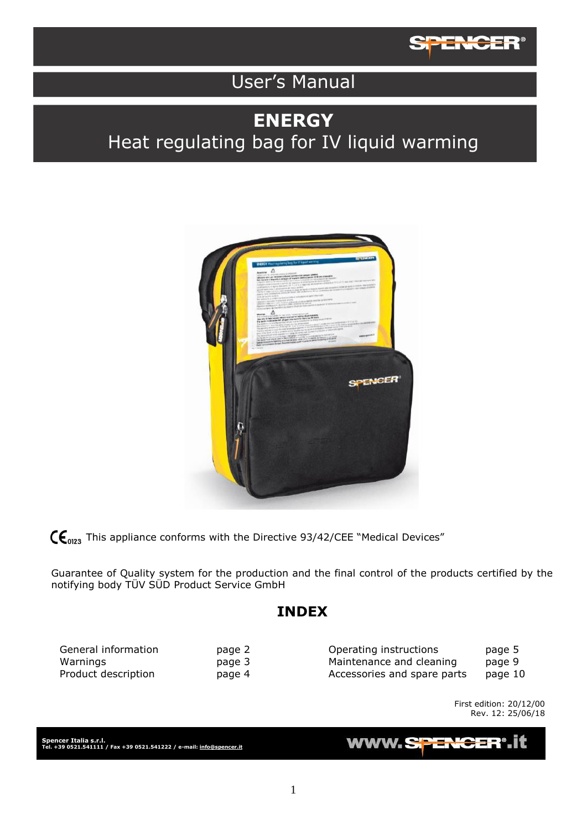

# User's Manual

# **ENERGY** Heat regulating bag for IV liquid warming



 $\mathsf{C}\mathsf{C}_{0123}$  This appliance conforms with the Directive 93/42/CEE "Medical Devices"

Guarantee of Quality system for the production and the final control of the products certified by the notifying body TÜV SÜD Product Service GmbH

## **INDEX**

| General information | page 2 | Operating instructions      | page 5  |
|---------------------|--------|-----------------------------|---------|
| Warnings            | page 3 | Maintenance and cleaning    | page 9  |
| Product description | page 4 | Accessories and spare parts | page 10 |

First edition: 20/12/00 Rev. 12: 25/06/18

**Spencer Italia s.r.l. Tel. +39 0521.541111 / Fax +39 0521.541222 / e-mail[: info@spencer.it](mailto:info@spencer.it)**

#### **WWW.SPENG** 클로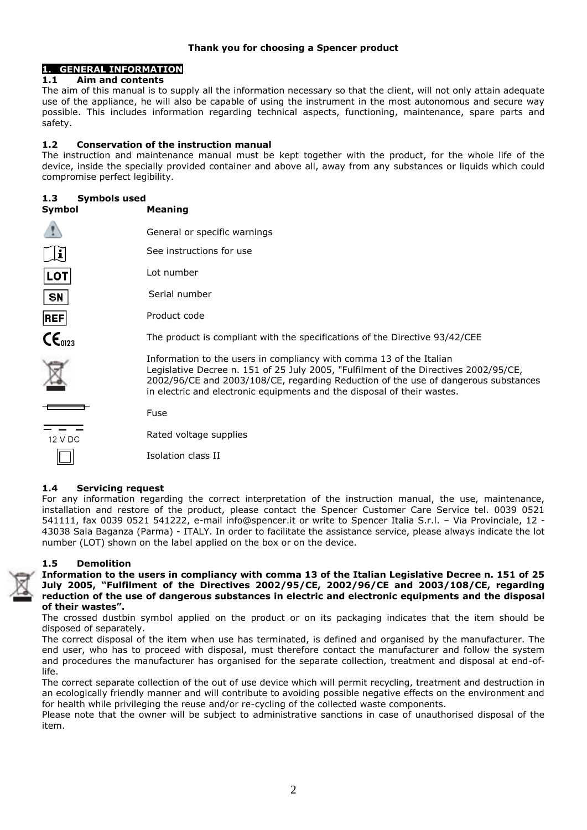### **1. GENERAL INFORMATION**

### **1.1 Aim and contents**

The aim of this manual is to supply all the information necessary so that the client, will not only attain adequate use of the appliance, he will also be capable of using the instrument in the most autonomous and secure way possible. This includes information regarding technical aspects, functioning, maintenance, spare parts and safety.

### **1.2 Conservation of the instruction manual**

The instruction and maintenance manual must be kept together with the product, for the whole life of the device, inside the specially provided container and above all, away from any substances or liquids which could compromise perfect legibility.

### **1.3 Symbols used**

| Symbol               | <b>Meaning</b>                                                                                                                                                                                                                                                                                                               |
|----------------------|------------------------------------------------------------------------------------------------------------------------------------------------------------------------------------------------------------------------------------------------------------------------------------------------------------------------------|
|                      | General or specific warnings                                                                                                                                                                                                                                                                                                 |
| $\mathbf{h}$         | See instructions for use                                                                                                                                                                                                                                                                                                     |
| <b>LOT</b>           | Lot number                                                                                                                                                                                                                                                                                                                   |
| <b>SN</b>            | Serial number                                                                                                                                                                                                                                                                                                                |
| REF                  | Product code                                                                                                                                                                                                                                                                                                                 |
| $\mathsf{CE}_{0123}$ | The product is compliant with the specifications of the Directive 93/42/CEE                                                                                                                                                                                                                                                  |
|                      | Information to the users in compliancy with comma 13 of the Italian<br>Legislative Decree n. 151 of 25 July 2005, "Fulfilment of the Directives 2002/95/CE,<br>2002/96/CE and 2003/108/CE, regarding Reduction of the use of dangerous substances<br>in electric and electronic equipments and the disposal of their wastes. |
|                      | Fuse                                                                                                                                                                                                                                                                                                                         |
| 12 V DC              | Rated voltage supplies                                                                                                                                                                                                                                                                                                       |
|                      | Isolation class II                                                                                                                                                                                                                                                                                                           |
|                      |                                                                                                                                                                                                                                                                                                                              |

### **1.4 Servicing request**

For any information regarding the correct interpretation of the instruction manual, the use, maintenance, installation and restore of the product, please contact the Spencer Customer Care Service tel. 0039 0521 541111, fax 0039 0521 541222, e-mail info@spencer.it or write to Spencer Italia S.r.l. – Via Provinciale, 12 - 43038 Sala Baganza (Parma) - ITALY. In order to facilitate the assistance service, please always indicate the lot number (LOT) shown on the label applied on the box or on the device.

### **1.5 Demolition**

**Information to the users in compliancy with comma 13 of the Italian Legislative Decree n. 151 of 25 July 2005, "Fulfilment of the Directives 2002/95/CE, 2002/96/CE and 2003/108/CE, regarding reduction of the use of dangerous substances in electric and electronic equipments and the disposal of their wastes".**

The crossed dustbin symbol applied on the product or on its packaging indicates that the item should be disposed of separately.

The correct disposal of the item when use has terminated, is defined and organised by the manufacturer. The end user, who has to proceed with disposal, must therefore contact the manufacturer and follow the system and procedures the manufacturer has organised for the separate collection, treatment and disposal at end-oflife.

The correct separate collection of the out of use device which will permit recycling, treatment and destruction in an ecologically friendly manner and will contribute to avoiding possible negative effects on the environment and for health while privileging the reuse and/or re-cycling of the collected waste components.

Please note that the owner will be subject to administrative sanctions in case of unauthorised disposal of the item.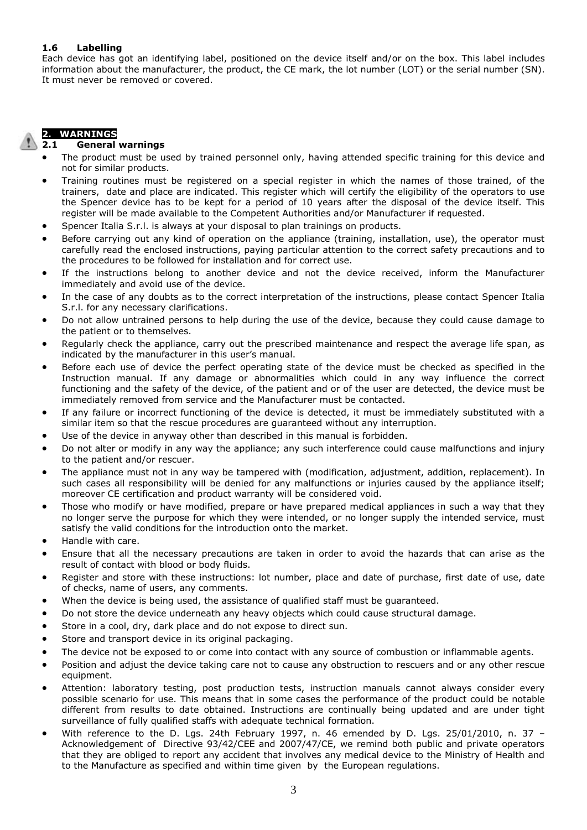### **1.6 Labelling**

Each device has got an identifying label, positioned on the device itself and/or on the box. This label includes information about the manufacturer, the product, the CE mark, the lot number (LOT) or the serial number (SN). It must never be removed or covered.

## **2. WARNINGS**

### **2.1 General warnings**

- The product must be used by trained personnel only, having attended specific training for this device and not for similar products.
- Training routines must be registered on a special register in which the names of those trained, of the trainers, date and place are indicated. This register which will certify the eligibility of the operators to use the Spencer device has to be kept for a period of 10 years after the disposal of the device itself. This register will be made available to the Competent Authorities and/or Manufacturer if requested.
- Spencer Italia S.r.l. is always at your disposal to plan trainings on products.
- Before carrying out any kind of operation on the appliance (training, installation, use), the operator must carefully read the enclosed instructions, paying particular attention to the correct safety precautions and to the procedures to be followed for installation and for correct use.
- If the instructions belong to another device and not the device received, inform the Manufacturer immediately and avoid use of the device.
- In the case of any doubts as to the correct interpretation of the instructions, please contact Spencer Italia S.r.l. for any necessary clarifications.
- Do not allow untrained persons to help during the use of the device, because they could cause damage to the patient or to themselves.
- Regularly check the appliance, carry out the prescribed maintenance and respect the average life span, as indicated by the manufacturer in this user's manual.
- Before each use of device the perfect operating state of the device must be checked as specified in the Instruction manual. If any damage or abnormalities which could in any way influence the correct functioning and the safety of the device, of the patient and or of the user are detected, the device must be immediately removed from service and the Manufacturer must be contacted.
- If any failure or incorrect functioning of the device is detected, it must be immediately substituted with a similar item so that the rescue procedures are guaranteed without any interruption.
- Use of the device in anyway other than described in this manual is forbidden.
- Do not alter or modify in any way the appliance; any such interference could cause malfunctions and injury to the patient and/or rescuer.
- The appliance must not in any way be tampered with (modification, adjustment, addition, replacement). In such cases all responsibility will be denied for any malfunctions or injuries caused by the appliance itself; moreover CE certification and product warranty will be considered void.
- Those who modify or have modified, prepare or have prepared medical appliances in such a way that they no longer serve the purpose for which they were intended, or no longer supply the intended service, must satisfy the valid conditions for the introduction onto the market.
- Handle with care.
- Ensure that all the necessary precautions are taken in order to avoid the hazards that can arise as the result of contact with blood or body fluids.
- Register and store with these instructions: lot number, place and date of purchase, first date of use, date of checks, name of users, any comments.
- When the device is being used, the assistance of qualified staff must be guaranteed.
- Do not store the device underneath any heavy objects which could cause structural damage.
- Store in a cool, dry, dark place and do not expose to direct sun.
- Store and transport device in its original packaging.
- The device not be exposed to or come into contact with any source of combustion or inflammable agents.
- Position and adjust the device taking care not to cause any obstruction to rescuers and or any other rescue equipment.
- Attention: laboratory testing, post production tests, instruction manuals cannot always consider every possible scenario for use. This means that in some cases the performance of the product could be notable different from results to date obtained. Instructions are continually being updated and are under tight surveillance of fully qualified staffs with adequate technical formation.
- With reference to the D. Lgs. 24th February 1997, n. 46 emended by D. Lgs. 25/01/2010, n. 37 -Acknowledgement of Directive 93/42/CEE and 2007/47/CE, we remind both public and private operators that they are obliged to report any accident that involves any medical device to the Ministry of Health and to the Manufacture as specified and within time given by the European regulations.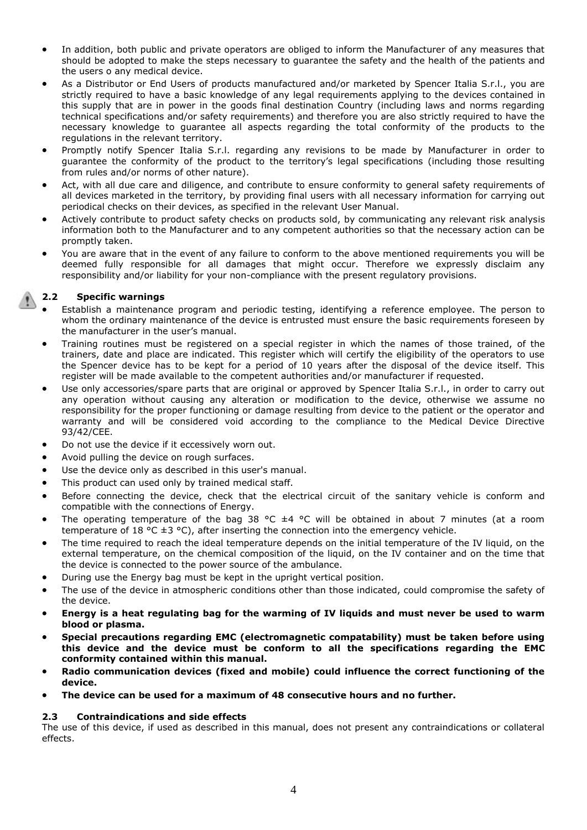- In addition, both public and private operators are obliged to inform the Manufacturer of any measures that should be adopted to make the steps necessary to guarantee the safety and the health of the patients and the users o any medical device.
- As a Distributor or End Users of products manufactured and/or marketed by Spencer Italia S.r.l., you are strictly required to have a basic knowledge of any legal requirements applying to the devices contained in this supply that are in power in the goods final destination Country (including laws and norms regarding technical specifications and/or safety requirements) and therefore you are also strictly required to have the necessary knowledge to guarantee all aspects regarding the total conformity of the products to the regulations in the relevant territory.
- Promptly notify Spencer Italia S.r.l. regarding any revisions to be made by Manufacturer in order to guarantee the conformity of the product to the territory's legal specifications (including those resulting from rules and/or norms of other nature).
- Act, with all due care and diligence, and contribute to ensure conformity to general safety requirements of all devices marketed in the territory, by providing final users with all necessary information for carrying out periodical checks on their devices, as specified in the relevant User Manual.
- Actively contribute to product safety checks on products sold, by communicating any relevant risk analysis information both to the Manufacturer and to any competent authorities so that the necessary action can be promptly taken.
- You are aware that in the event of any failure to conform to the above mentioned requirements you will be deemed fully responsible for all damages that might occur. Therefore we expressly disclaim any responsibility and/or liability for your non-compliance with the present regulatory provisions.

## **2.2 Specific warnings**

- Establish a maintenance program and periodic testing, identifying a reference employee. The person to whom the ordinary maintenance of the device is entrusted must ensure the basic requirements foreseen by the manufacturer in the user's manual.
- Training routines must be registered on a special register in which the names of those trained, of the trainers, date and place are indicated. This register which will certify the eligibility of the operators to use the Spencer device has to be kept for a period of 10 years after the disposal of the device itself. This register will be made available to the competent authorities and/or manufacturer if requested.
- Use only accessories/spare parts that are original or approved by Spencer Italia S.r.l., in order to carry out any operation without causing any alteration or modification to the device, otherwise we assume no responsibility for the proper functioning or damage resulting from device to the patient or the operator and warranty and will be considered void according to the compliance to the Medical Device Directive 93/42/CEE.
- Do not use the device if it eccessively worn out.
- Avoid pulling the device on rough surfaces.
- Use the device only as described in this user's manual.
- This product can used only by trained medical staff.
- Before connecting the device, check that the electrical circuit of the sanitary vehicle is conform and compatible with the connections of Energy.
- The operating temperature of the bag 38 °C ±4 °C will be obtained in about 7 minutes (at a room temperature of 18 °C  $\pm$ 3 °C), after inserting the connection into the emergency vehicle.
- The time required to reach the ideal temperature depends on the initial temperature of the IV liquid, on the external temperature, on the chemical composition of the liquid, on the IV container and on the time that the device is connected to the power source of the ambulance.
- During use the Energy bag must be kept in the upright vertical position.
- The use of the device in atmospheric conditions other than those indicated, could compromise the safety of the device.
- **Energy is a heat regulating bag for the warming of IV liquids and must never be used to warm blood or plasma.**
- **Special precautions regarding EMC (electromagnetic compatability) must be taken before using this device and the device must be conform to all the specifications regarding the EMC conformity contained within this manual.**
- **Radio communication devices (fixed and mobile) could influence the correct functioning of the device.**
- **The device can be used for a maximum of 48 consecutive hours and no further.**

### **2.3 Contraindications and side effects**

The use of this device, if used as described in this manual, does not present any contraindications or collateral effects.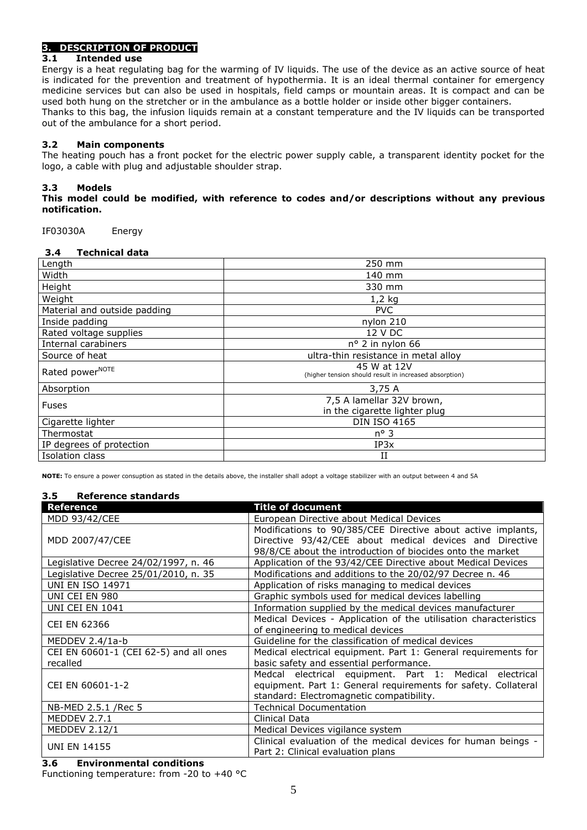# **3. DESCRIPTION OF PRODUCT**

### **3.1 Intended use**

Energy is a heat regulating bag for the warming of IV liquids. The use of the device as an active source of heat is indicated for the prevention and treatment of hypothermia. It is an ideal thermal container for emergency medicine services but can also be used in hospitals, field camps or mountain areas. It is compact and can be used both hung on the stretcher or in the ambulance as a bottle holder or inside other bigger containers. Thanks to this bag, the infusion liquids remain at a constant temperature and the IV liquids can be transported out of the ambulance for a short period.

### **3.2 Main components**

The heating pouch has a front pocket for the electric power supply cable, a transparent identity pocket for the logo, a cable with plug and adjustable shoulder strap.

### **3.3 Models**

### **This model could be modified, with reference to codes and/or descriptions without any previous notification.**

IF03030A Energy

| 3.4 | <b>Technical data</b> |  |
|-----|-----------------------|--|
|-----|-----------------------|--|

| Length                       | 250 mm                                                                |
|------------------------------|-----------------------------------------------------------------------|
| Width                        | 140 mm                                                                |
| Height                       | 330 mm                                                                |
| Weight                       | $1,2$ kg                                                              |
| Material and outside padding | <b>PVC</b>                                                            |
| Inside padding               | nylon 210                                                             |
| Rated voltage supplies       | 12 V DC                                                               |
| Internal carabiners          | $n^{\circ}$ 2 in nylon 66                                             |
| Source of heat               | ultra-thin resistance in metal alloy                                  |
| Rated power <sup>NOTE</sup>  | 45 W at 12V<br>(higher tension should result in increased absorption) |
| Absorption                   | 3,75 A                                                                |
| <b>Fuses</b>                 | 7,5 A lamellar 32V brown,<br>in the cigarette lighter plug            |
| Cigarette lighter            | <b>DIN ISO 4165</b>                                                   |
| Thermostat                   | $n^{\circ}$ 3                                                         |
| IP degrees of protection     | IP3x                                                                  |
| Isolation class              | Н                                                                     |

**NOTE:** To ensure a power consuption as stated in the details above, the installer shall adopt a voltage stabilizer with an output between 4 and 5A

### **3.5 Reference standards**

| <b>Reference</b>                       | <b>Title of document</b>                                                                                              |  |  |
|----------------------------------------|-----------------------------------------------------------------------------------------------------------------------|--|--|
| MDD 93/42/CEE                          | European Directive about Medical Devices                                                                              |  |  |
|                                        | Modifications to 90/385/CEE Directive about active implants,                                                          |  |  |
| MDD 2007/47/CEE                        | Directive 93/42/CEE about medical devices and Directive<br>98/8/CE about the introduction of biocides onto the market |  |  |
| Legislative Decree 24/02/1997, n. 46   | Application of the 93/42/CEE Directive about Medical Devices                                                          |  |  |
| Legislative Decree 25/01/2010, n. 35   | Modifications and additions to the 20/02/97 Decree n. 46                                                              |  |  |
| <b>UNI EN ISO 14971</b>                | Application of risks managing to medical devices                                                                      |  |  |
| UNI CEI EN 980                         | Graphic symbols used for medical devices labelling                                                                    |  |  |
| <b>UNI CEI EN 1041</b>                 | Information supplied by the medical devices manufacturer                                                              |  |  |
| <b>CEI EN 62366</b>                    | Medical Devices - Application of the utilisation characteristics                                                      |  |  |
|                                        | of engineering to medical devices                                                                                     |  |  |
| MEDDEV 2.4/1a-b                        | Guideline for the classification of medical devices                                                                   |  |  |
| CEI EN 60601-1 (CEI 62-5) and all ones | Medical electrical equipment. Part 1: General requirements for                                                        |  |  |
| recalled                               | basic safety and essential performance.                                                                               |  |  |
|                                        | Medcal electrical equipment. Part 1: Medical electrical                                                               |  |  |
| CEI EN 60601-1-2                       | equipment. Part 1: General requirements for safety. Collateral                                                        |  |  |
|                                        | standard: Electromagnetic compatibility.                                                                              |  |  |
| NB-MED 2.5.1 / Rec 5                   | <b>Technical Documentation</b>                                                                                        |  |  |
| MEDDEV 2.7.1                           | Clinical Data                                                                                                         |  |  |
| <b>MEDDEV 2.12/1</b>                   | Medical Devices vigilance system                                                                                      |  |  |
| <b>UNI EN 14155</b>                    | Clinical evaluation of the medical devices for human beings -                                                         |  |  |
|                                        | Part 2: Clinical evaluation plans                                                                                     |  |  |

### **3.6 Environmental conditions**

Functioning temperature: from -20 to +40 °C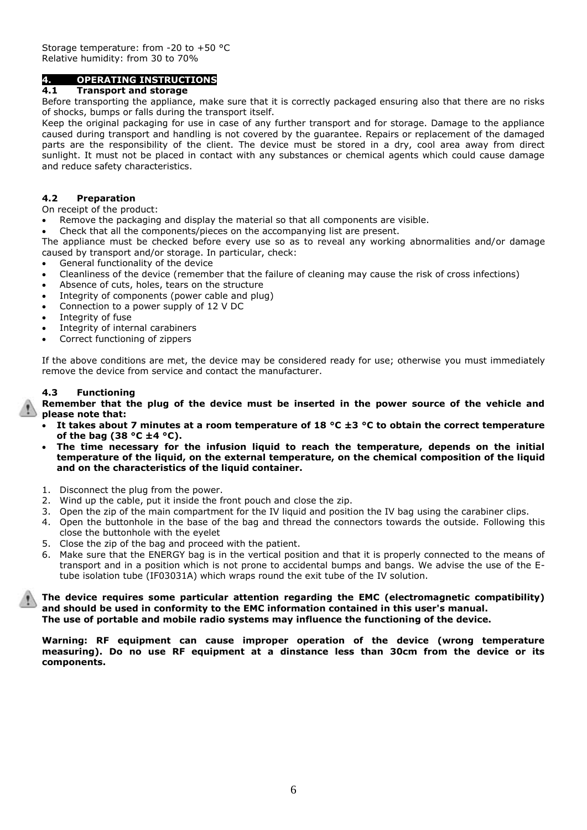### **4. OPERATING INSTRUCTIONS**

### **4.1 Transport and storage**

Before transporting the appliance, make sure that it is correctly packaged ensuring also that there are no risks of shocks, bumps or falls during the transport itself.

Keep the original packaging for use in case of any further transport and for storage. Damage to the appliance caused during transport and handling is not covered by the guarantee. Repairs or replacement of the damaged parts are the responsibility of the client. The device must be stored in a dry, cool area away from direct sunlight. It must not be placed in contact with any substances or chemical agents which could cause damage and reduce safety characteristics.

### **4.2 Preparation**

On receipt of the product:

- Remove the packaging and display the material so that all components are visible.
- Check that all the components/pieces on the accompanying list are present.

The appliance must be checked before every use so as to reveal any working abnormalities and/or damage caused by transport and/or storage. In particular, check:

- General functionality of the device
- Cleanliness of the device (remember that the failure of cleaning may cause the risk of cross infections)
- Absence of cuts, holes, tears on the structure
- Integrity of components (power cable and plug)
- Connection to a power supply of 12 V DC
- Integrity of fuse
- Integrity of internal carabiners
- Correct functioning of zippers

If the above conditions are met, the device may be considered ready for use; otherwise you must immediately remove the device from service and contact the manufacturer.

### **4.3 Functioning**

**Remember that the plug of the device must be inserted in the power source of the vehicle and please note that:**

- **It takes about 7 minutes at a room temperature of 18 °C ±3 °C to obtain the correct temperature of the bag (38 °C ±4 °C).**
- **The time necessary for the infusion liquid to reach the temperature, depends on the initial temperature of the liquid, on the external temperature, on the chemical composition of the liquid and on the characteristics of the liquid container.**
- 1. Disconnect the plug from the power.
- 2. Wind up the cable, put it inside the front pouch and close the zip.
- 3. Open the zip of the main compartment for the IV liquid and position the IV bag using the carabiner clips.
- 4. Open the buttonhole in the base of the bag and thread the connectors towards the outside. Following this close the buttonhole with the eyelet
- 5. Close the zip of the bag and proceed with the patient.
- 6. Make sure that the ENERGY bag is in the vertical position and that it is properly connected to the means of transport and in a position which is not prone to accidental bumps and bangs. We advise the use of the Etube isolation tube (IF03031A) which wraps round the exit tube of the IV solution.

**The device requires some particular attention regarding the EMC (electromagnetic compatibility) and should be used in conformity to the EMC information contained in this user's manual. The use of portable and mobile radio systems may influence the functioning of the device.**

**Warning: RF equipment can cause improper operation of the device (wrong temperature measuring). Do no use RF equipment at a dinstance less than 30cm from the device or its components.**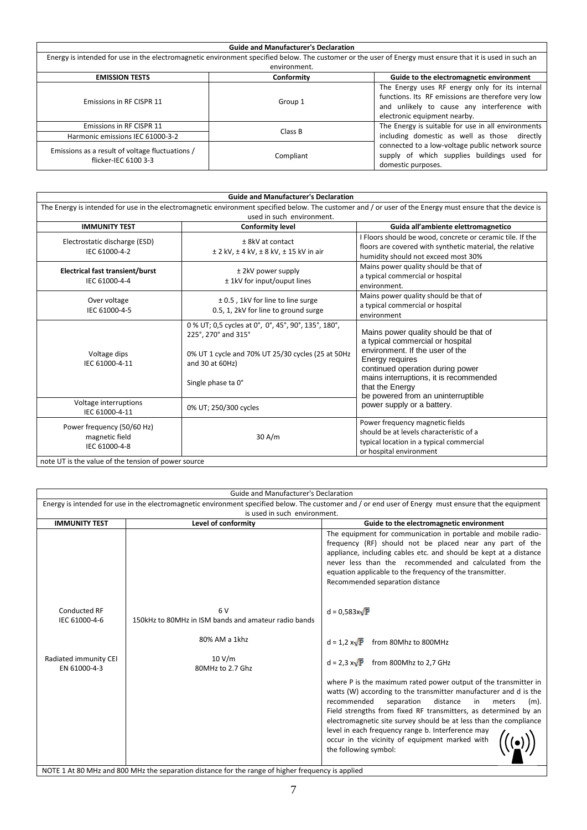| <b>Guide and Manufacturer's Declaration</b>                             |                                                                                                                                                          |                                                                                                                                                                                      |  |  |
|-------------------------------------------------------------------------|----------------------------------------------------------------------------------------------------------------------------------------------------------|--------------------------------------------------------------------------------------------------------------------------------------------------------------------------------------|--|--|
|                                                                         | Energy is intended for use in the electromagnetic environment specified below. The customer or the user of Energy must ensure that it is used in such an |                                                                                                                                                                                      |  |  |
|                                                                         | environment.                                                                                                                                             |                                                                                                                                                                                      |  |  |
| <b>EMISSION TESTS</b>                                                   | Conformity                                                                                                                                               | Guide to the electromagnetic environment                                                                                                                                             |  |  |
| Emissions in RF CISPR 11                                                | Group 1                                                                                                                                                  | The Energy uses RF energy only for its internal<br>functions. Its RF emissions are therefore very low<br>and unlikely to cause any interference with<br>electronic equipment nearby. |  |  |
| Emissions in RF CISPR 11                                                | Class B                                                                                                                                                  | The Energy is suitable for use in all environments                                                                                                                                   |  |  |
| Harmonic emissions IEC 61000-3-2                                        |                                                                                                                                                          | including domestic as well as those directly                                                                                                                                         |  |  |
| Emissions as a result of voltage fluctuations /<br>flicker-IEC 6100 3-3 | Compliant                                                                                                                                                | connected to a low-voltage public network source<br>supply of which supplies buildings used for<br>domestic purposes.                                                                |  |  |

| <b>Guide and Manufacturer's Declaration</b>                                                                                                                                             |                                                                                                                                                                          |                                                                                                                                                                                                                                                                        |  |  |
|-----------------------------------------------------------------------------------------------------------------------------------------------------------------------------------------|--------------------------------------------------------------------------------------------------------------------------------------------------------------------------|------------------------------------------------------------------------------------------------------------------------------------------------------------------------------------------------------------------------------------------------------------------------|--|--|
| The Energy is intended for use in the electromagnetic environment specified below. The customer and / or user of the Energy must ensure that the device is<br>used in such environment. |                                                                                                                                                                          |                                                                                                                                                                                                                                                                        |  |  |
| <b>IMMUNITY TEST</b>                                                                                                                                                                    | <b>Conformity level</b>                                                                                                                                                  | Guida all'ambiente elettromagnetico                                                                                                                                                                                                                                    |  |  |
| Electrostatic discharge (ESD)<br>IEC 61000-4-2                                                                                                                                          | $± 8kV$ at contact<br>$±$ 2 kV, $±$ 4 kV, $±$ 8 kV, $±$ 15 kV in air                                                                                                     | I Floors should be wood, concrete or ceramic tile. If the<br>floors are covered with synthetic material, the relative<br>humidity should not exceed most 30%                                                                                                           |  |  |
| <b>Electrical fast transient/burst</b><br>IEC 61000-4-4                                                                                                                                 | ± 2kV power supply<br>± 1kV for input/ouput lines                                                                                                                        | Mains power quality should be that of<br>a typical commercial or hospital<br>environment.                                                                                                                                                                              |  |  |
| Over voltage<br>IEC 61000-4-5                                                                                                                                                           | ± 0.5, 1kV for line to line surge<br>0.5, 1, 2kV for line to ground surge                                                                                                | Mains power quality should be that of<br>a typical commercial or hospital<br>environment                                                                                                                                                                               |  |  |
| Voltage dips<br>IEC 61000-4-11                                                                                                                                                          | 0 % UT; 0,5 cycles at 0°, 0°, 45°, 90°, 135°, 180°,<br>225°, 270° and 315°<br>0% UT 1 cycle and 70% UT 25/30 cycles (25 at 50Hz<br>and 30 at 60Hz)<br>Single phase ta 0° | Mains power quality should be that of<br>a typical commercial or hospital<br>environment. If the user of the<br>Energy requires<br>continued operation during power<br>mains interruptions, it is recommended<br>that the Energy<br>be powered from an uninterruptible |  |  |
| Voltage interruptions<br>IEC 61000-4-11                                                                                                                                                 | 0% UT; 250/300 cycles                                                                                                                                                    | power supply or a battery.                                                                                                                                                                                                                                             |  |  |
| Power frequency (50/60 Hz)<br>magnetic field<br>IEC 61000-4-8<br>note UT is the value of the tension of power source                                                                    | 30 A/m                                                                                                                                                                   | Power frequency magnetic fields<br>should be at levels characteristic of a<br>typical location in a typical commercial<br>or hospital environment                                                                                                                      |  |  |

|                                       | Guide and Manufacturer's Declaration                                                              |                                                                                                                                                                                                                                                                                                                                                                                                                                                                                 |
|---------------------------------------|---------------------------------------------------------------------------------------------------|---------------------------------------------------------------------------------------------------------------------------------------------------------------------------------------------------------------------------------------------------------------------------------------------------------------------------------------------------------------------------------------------------------------------------------------------------------------------------------|
|                                       |                                                                                                   | Energy is intended for use in the electromagnetic environment specified below. The customer and / or end user of Energy must ensure that the equipment                                                                                                                                                                                                                                                                                                                          |
|                                       | is used in such environment.                                                                      |                                                                                                                                                                                                                                                                                                                                                                                                                                                                                 |
| <b>IMMUNITY TEST</b>                  | Level of conformity                                                                               | Guide to the electromagnetic environment                                                                                                                                                                                                                                                                                                                                                                                                                                        |
|                                       |                                                                                                   | The equipment for communication in portable and mobile radio-<br>frequency (RF) should not be placed near any part of the<br>appliance, including cables etc. and should be kept at a distance<br>never less than the recommended and calculated from the<br>equation applicable to the frequency of the transmitter.<br>Recommended separation distance                                                                                                                        |
| Conducted RF<br>IEC 61000-4-6         | 6V<br>150kHz to 80MHz in ISM bands and amateur radio bands                                        | $d = 0.583x\sqrt{P}$                                                                                                                                                                                                                                                                                                                                                                                                                                                            |
|                                       | 80% AM a 1khz                                                                                     | $d = 1.2 x\sqrt{P}$<br>from 80Mhz to 800MHz                                                                                                                                                                                                                                                                                                                                                                                                                                     |
| Radiated immunity CEI<br>EN 61000-4-3 | 10 V/m<br>80MHz to 2.7 Ghz                                                                        | $d = 2.3 x\sqrt{P}$ from 800Mhz to 2,7 GHz                                                                                                                                                                                                                                                                                                                                                                                                                                      |
|                                       |                                                                                                   | where P is the maximum rated power output of the transmitter in<br>watts (W) according to the transmitter manufacturer and d is the<br>recommended<br>separation<br>distance<br>in<br>meters<br>$(m)$ .<br>Field strengths from fixed RF transmitters, as determined by an<br>electromagnetic site survey should be at less than the compliance<br>level in each frequency range b. Interference may<br>occur in the vicinity of equipment marked with<br>the following symbol: |
|                                       | NOTE 1 At 80 MHz and 800 MHz the separation distance for the range of higher frequency is applied |                                                                                                                                                                                                                                                                                                                                                                                                                                                                                 |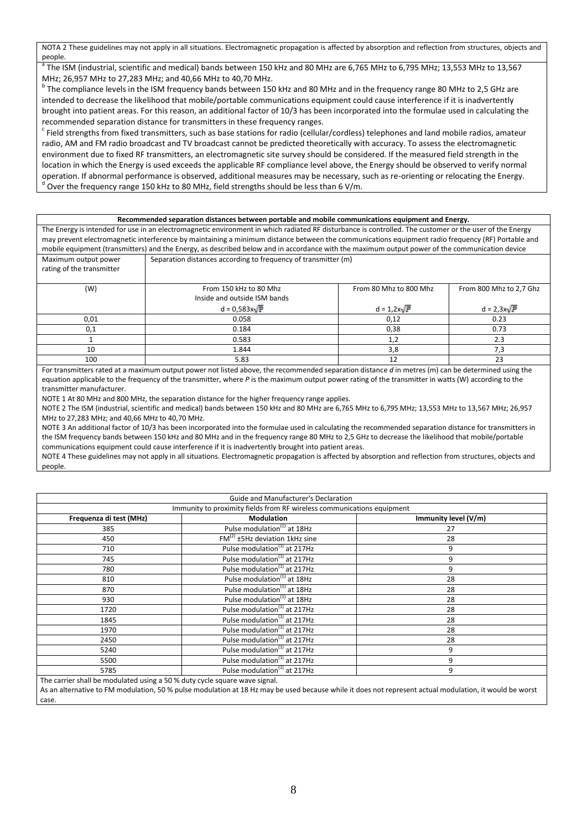NOTA 2 These guidelines may not apply in all situations. Electromagnetic propagation is affected by absorption and reflection from structures, objects and people.

a The ISM (industrial, scientific and medical) bands between 150 kHz and 80 MHz are 6,765 MHz to 6,795 MHz; 13,553 MHz to 13,567 MHz; 26,957 MHz to 27,283 MHz; and 40,66 MHz to 40,70 MHz.

<sup>b</sup> The compliance levels in the ISM frequency bands between 150 kHz and 80 MHz and in the frequency range 80 MHz to 2,5 GHz are intended to decrease the likelihood that mobile/portable communications equipment could cause interference if it is inadvertently brought into patient areas. For this reason, an additional factor of 10/3 has been incorporated into the formulae used in calculating the recommended separation distance for transmitters in these frequency ranges.

 $^c$  Field strengths from fixed transmitters, such as base stations for radio (cellular/cordless) telephones and land mobile radios, amateur radio, AM and FM radio broadcast and TV broadcast cannot be predicted theoretically with accuracy. To assess the electromagnetic environment due to fixed RF transmitters, an electromagnetic site survey should be considered. If the measured field strength in the location in which the Energy is used exceeds the applicable RF compliance level above, the Energy should be observed to verify normal operation. If abnormal performance is observed, additional measures may be necessary, such as re-orienting or relocating the Energy.  $^{\text{d}}$  Over the frequency range 150 kHz to 80 MHz, field strengths should be less than 6 V/m.

#### **Recommended separation distances between portable and mobile communications equipment and Energy.**

The Energy is intended for use in an electromagnetic environment in which radiated RF disturbance is controlled. The customer or the user of the Energy may prevent electromagnetic interference by maintaining a minimum distance between the communications equipment radio frequency (RF) Portable and mobile equipment (transmitters) and the Energy, as described below and in accordance with the maximum output power of the communication device Maximum output power Separation distances according to frequency of transmitter (m)

| rating of the transmitter |                              |                        |                         |
|---------------------------|------------------------------|------------------------|-------------------------|
| (W)                       | From 150 kHz to 80 Mhz       | From 80 Mhz to 800 Mhz | From 800 Mhz to 2,7 Ghz |
|                           | Inside and outside ISM bands |                        |                         |
|                           | $d = 0.583x\sqrt{P}$         | $d = 1.2x\sqrt{P}$     | $d = 2,3x\sqrt{P}$      |
| 0,01                      | 0.058                        | 0,12                   | 0.23                    |
| 0,1                       | 0.184                        | 0,38                   | 0.73                    |
|                           | 0.583                        | 1,2                    | 2.3                     |
| 10                        | 1.844                        | 3,8                    | 7,3                     |
| 100                       | 5.83                         | 12                     | 23                      |

For transmitters rated at a maximum output power not listed above, the recommended separation distance *d* in metres (m) can be determined using the equation applicable to the frequency of the transmitter, where *P* is the maximum output power rating of the transmitter in watts (W) according to the transmitter manufacturer.

NOTE 1 At 80 MHz and 800 MHz, the separation distance for the higher frequency range applies.

NOTE 2 The ISM (industrial, scientific and medical) bands between 150 kHz and 80 MHz are 6,765 MHz to 6,795 MHz; 13,553 MHz to 13,567 MHz; 26,957 MHz to 27,283 MHz; and 40,66 MHz to 40,70 MHz.

NOTE 3 An additional factor of 10/3 has been incorporated into the formulae used in calculating the recommended separation distance for transmitters in the ISM frequency bands between 150 kHz and 80 MHz and in the frequency range 80 MHz to 2,5 GHz to decrease the likelihood that mobile/portable communications equipment could cause interference if it is inadvertently brought into patient areas.

NOTE 4 These guidelines may not apply in all situations. Electromagnetic propagation is affected by absorption and reflection from structures, objects and people.

| Guide and Manufacturer's Declaration |                                                                        |                      |  |
|--------------------------------------|------------------------------------------------------------------------|----------------------|--|
|                                      | Immunity to proximity fields from RF wireless communications equipment |                      |  |
| Frequenza di test (MHz)              | <b>Modulation</b>                                                      | Immunity level (V/m) |  |
| 385                                  | Pulse modulation <sup>(1)</sup> at 18Hz                                | 27                   |  |
| 450                                  | $FM(2) ±5Hz$ deviation 1kHz sine                                       | 28                   |  |
| 710                                  | Pulse modulation <sup>(1)</sup> at 217Hz                               | 9                    |  |
| 745                                  | Pulse modulation <sup>(1)</sup> at 217Hz                               | 9                    |  |
| 780                                  | Pulse modulation <sup>(1)</sup> at 217Hz                               | 9                    |  |
| 810                                  | Pulse modulation <sup>(1)</sup> at 18Hz                                | 28                   |  |
| 870                                  | Pulse modulation <sup>(1)</sup> at 18Hz                                | 28                   |  |
| 930                                  | Pulse modulation <sup>(1)</sup> at 18Hz                                | 28                   |  |
| 1720                                 | Pulse modulation <sup>(1)</sup> at 217Hz                               | 28                   |  |
| 1845                                 | Pulse modulation <sup>(1)</sup> at 217Hz                               | 28                   |  |
| 1970                                 | Pulse modulation <sup>(1)</sup> at 217Hz                               | 28                   |  |
| 2450                                 | Pulse modulation <sup>(1)</sup> at 217Hz                               | 28                   |  |
| 5240                                 | Pulse modulation <sup>(1)</sup> at 217Hz                               | 9                    |  |
| 5500                                 | Pulse modulation <sup>(1)</sup> at 217Hz                               | 9                    |  |
| 5785                                 | Pulse modulation <sup>(1)</sup> at 217Hz                               | 9                    |  |

The carrier shall be modulated using a 50 % duty cycle square wave signal.

As an alternative to FM modulation, 50 % pulse modulation at 18 Hz may be used because while it does not represent actual modulation, it would be worst case.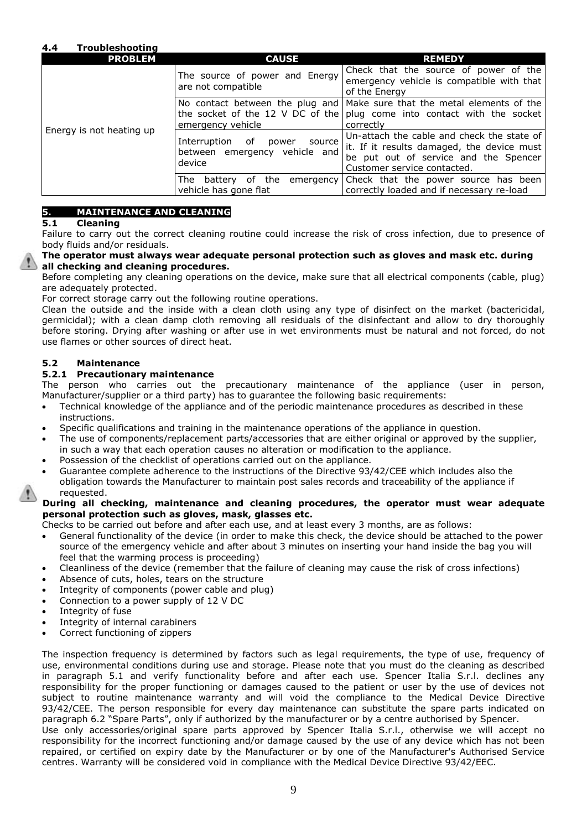## **4.4 Troubleshooting**

| <b>PROBLEM</b>           | <b>CAUSE</b>                                                                     | <b>REMEDY</b>                                                                                                                                                    |
|--------------------------|----------------------------------------------------------------------------------|------------------------------------------------------------------------------------------------------------------------------------------------------------------|
| Energy is not heating up | The source of power and Energy<br>are not compatible                             | Check that the source of power of the<br>emergency vehicle is compatible with that<br>of the Energy                                                              |
|                          | emergency vehicle                                                                | No contact between the plug and Make sure that the metal elements of the<br>the socket of the 12 V DC of the plug come into contact with the socket<br>correctly |
|                          | Interruption<br>of<br>source<br>power<br>between emergency vehicle and<br>device | Un-attach the cable and check the state of<br>it. If it results damaged, the device must<br>be put out of service and the Spencer<br>Customer service contacted. |
|                          | battery of the<br>The l<br>emergency  <br>vehicle has gone flat                  | Check that the power source has been<br>correctly loaded and if necessary re-load                                                                                |

### **5. MAINTENANCE AND CLEANING**

### **5.1 Cleaning**

Failure to carry out the correct cleaning routine could increase the risk of cross infection, due to presence of body fluids and/or residuals.

### **The operator must always wear adequate personal protection such as gloves and mask etc. during all checking and cleaning procedures.**

Before completing any cleaning operations on the device, make sure that all electrical components (cable, plug) are adequately protected.

For correct storage carry out the following routine operations.

Clean the outside and the inside with a clean cloth using any type of disinfect on the market (bactericidal, germicidal); with a clean damp cloth removing all residuals of the disinfectant and allow to dry thoroughly before storing. Drying after washing or after use in wet environments must be natural and not forced, do not use flames or other sources of direct heat.

### **5.2 Maintenance**

### **5.2.1 Precautionary maintenance**

The person who carries out the precautionary maintenance of the appliance (user in person, Manufacturer/supplier or a third party) has to guarantee the following basic requirements:

- Technical knowledge of the appliance and of the periodic maintenance procedures as described in these instructions.
- Specific qualifications and training in the maintenance operations of the appliance in question.
- The use of components/replacement parts/accessories that are either original or approved by the supplier, in such a way that each operation causes no alteration or modification to the appliance.
- Possession of the checklist of operations carried out on the appliance.
- Guarantee complete adherence to the instructions of the Directive 93/42/CEE which includes also the obligation towards the Manufacturer to maintain post sales records and traceability of the appliance if requested.

### **During all checking, maintenance and cleaning procedures, the operator must wear adequate personal protection such as gloves, mask, glasses etc.**

Checks to be carried out before and after each use, and at least every 3 months, are as follows:

- General functionality of the device (in order to make this check, the device should be attached to the power source of the emergency vehicle and after about 3 minutes on inserting your hand inside the bag you will feel that the warming process is proceeding)
- Cleanliness of the device (remember that the failure of cleaning may cause the risk of cross infections)
- Absence of cuts, holes, tears on the structure
- Integrity of components (power cable and plug)
- Connection to a power supply of 12 V DC
- Integrity of fuse
- Integrity of internal carabiners
- Correct functioning of zippers

The inspection frequency is determined by factors such as legal requirements, the type of use, frequency of use, environmental conditions during use and storage. Please note that you must do the cleaning as described in paragraph 5.1 and verify functionality before and after each use. Spencer Italia S.r.l. declines any responsibility for the proper functioning or damages caused to the patient or user by the use of devices not subject to routine maintenance warranty and will void the compliance to the Medical Device Directive 93/42/CEE. The person responsible for every day maintenance can substitute the spare parts indicated on paragraph 6.2 "Spare Parts", only if authorized by the manufacturer or by a centre authorised by Spencer. Use only accessories/original spare parts approved by Spencer Italia S.r.l., otherwise we will accept no

responsibility for the incorrect functioning and/or damage caused by the use of any device which has not been repaired, or certified on expiry date by the Manufacturer or by one of the Manufacturer's Authorised Service centres. Warranty will be considered void in compliance with the Medical Device Directive 93/42/EEC.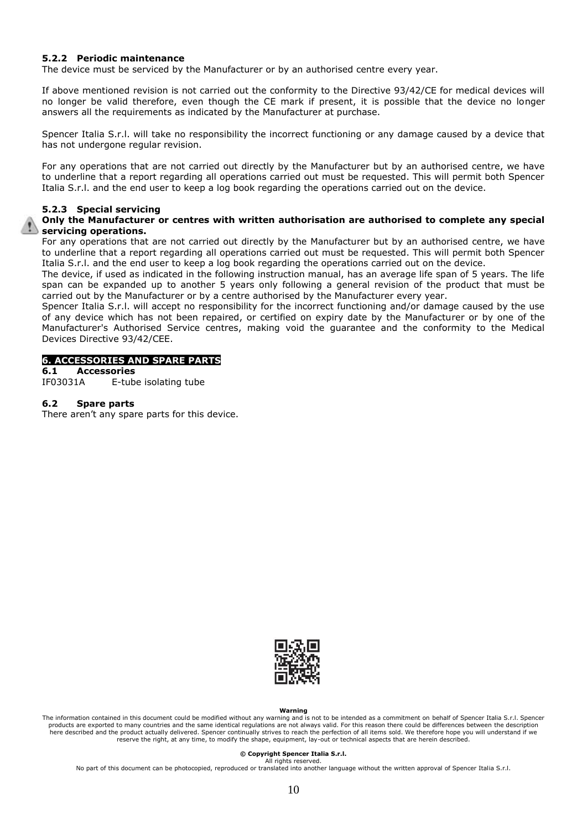### **5.2.2 Periodic maintenance**

The device must be serviced by the Manufacturer or by an authorised centre every year.

If above mentioned revision is not carried out the conformity to the Directive 93/42/CE for medical devices will no longer be valid therefore, even though the CE mark if present, it is possible that the device no longer answers all the requirements as indicated by the Manufacturer at purchase.

Spencer Italia S.r.l. will take no responsibility the incorrect functioning or any damage caused by a device that has not undergone regular revision.

For any operations that are not carried out directly by the Manufacturer but by an authorised centre, we have to underline that a report regarding all operations carried out must be requested. This will permit both Spencer Italia S.r.l. and the end user to keep a log book regarding the operations carried out on the device.

### **5.2.3 Special servicing**

### **Only the Manufacturer or centres with written authorisation are authorised to complete any special servicing operations.**

For any operations that are not carried out directly by the Manufacturer but by an authorised centre, we have to underline that a report regarding all operations carried out must be requested. This will permit both Spencer Italia S.r.l. and the end user to keep a log book regarding the operations carried out on the device.

The device, if used as indicated in the following instruction manual, has an average life span of 5 years. The life span can be expanded up to another 5 years only following a general revision of the product that must be carried out by the Manufacturer or by a centre authorised by the Manufacturer every year.

Spencer Italia S.r.l. will accept no responsibility for the incorrect functioning and/or damage caused by the use of any device which has not been repaired, or certified on expiry date by the Manufacturer or by one of the Manufacturer's Authorised Service centres, making void the guarantee and the conformity to the Medical Devices Directive 93/42/CEE.

### **6. ACCESSORIES AND SPARE PARTS**

**6.1 Accessories**

E-tube isolating tube

### **6.2 Spare parts**

There aren't any spare parts for this device.



### **Warning**

The information contained in this document could be modified without any warning and is not to be intended as a commitment on behalf of Spencer Italia S.r.l. Spencer products are exported to many countries and the same identical regulations are not always valid. For this reason there could be differences between the description here described and the product actually delivered. Spencer continually strives to reach the perfection of all items sold. We therefore hope you will understand if we<br>reserve the right, at any time, to modify the shape, equ

#### **© Copyright Spencer Italia S.r.l.**

All rights reserved No part of this document can be photocopied, reproduced or translated into another language without the written approval of Spencer Italia S.r.l.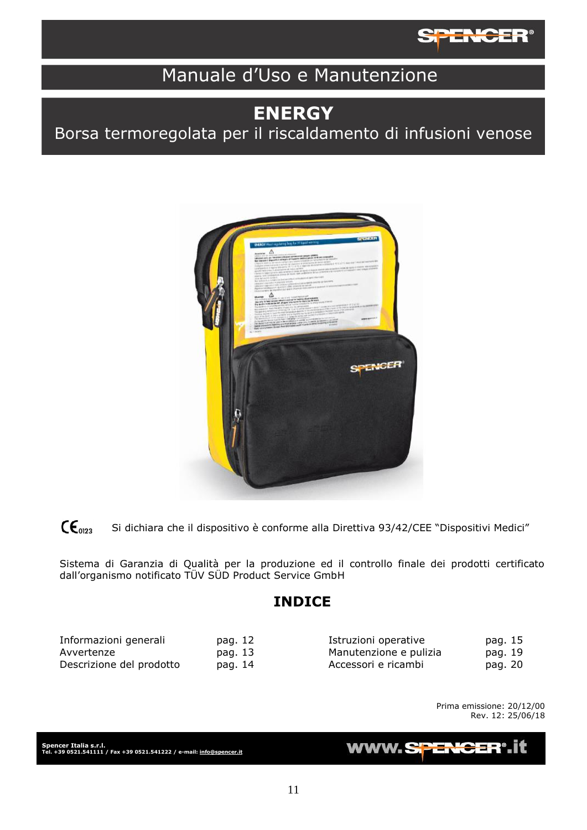

# Manuale d'Uso e Manutenzione

# **ENERGY**

Borsa termoregolata per il riscaldamento di infusioni venose



 $\mathsf{CE}_{0123}$ Si dichiara che il dispositivo è conforme alla Direttiva 93/42/CEE "Dispositivi Medici"

Sistema di Garanzia di Qualità per la produzione ed il controllo finale dei prodotti certificato dall'organismo notificato TÜV SÜD Product Service GmbH

## **INDICE**

| Informazioni generali    | pag. 12 | Istruzioni operative   | pag. 15 |
|--------------------------|---------|------------------------|---------|
| Avvertenze               | pag. 13 | Manutenzione e pulizia | pag. 19 |
| Descrizione del prodotto | pag. 14 | Accessori e ricambi    | pag. 20 |

Prima emissione: 20/12/00 Rev. 12: 25/06/18

**Spencer Italia s.r.l. Tel. +39 0521.541111 / Fax +39 0521.541222 / e-mail[: info@spencer.it](mailto:info@spencer.it)**

**WWW.SF**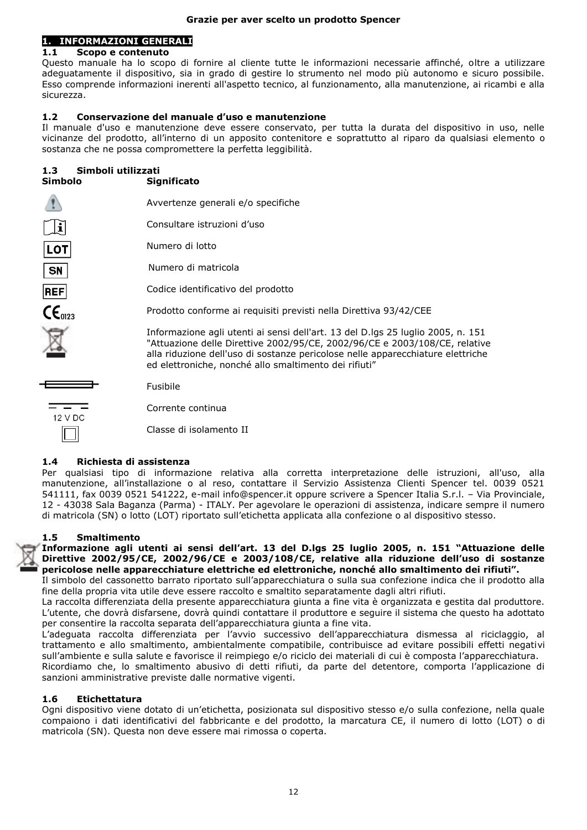### **Grazie per aver scelto un prodotto Spencer**

### **1. INFORMAZIONI GENERALI**

### **1.1 Scopo e contenuto**

Questo manuale ha lo scopo di fornire al cliente tutte le informazioni necessarie affinché, oltre a utilizzare adeguatamente il dispositivo, sia in grado di gestire lo strumento nel modo più autonomo e sicuro possibile. Esso comprende informazioni inerenti all'aspetto tecnico, al funzionamento, alla manutenzione, ai ricambi e alla sicurezza.

### **1.2 Conservazione del manuale d'uso e manutenzione**

Il manuale d'uso e manutenzione deve essere conservato, per tutta la durata del dispositivo in uso, nelle vicinanze del prodotto, all'interno di un apposito contenitore e soprattutto al riparo da qualsiasi elemento o sostanza che ne possa compromettere la perfetta leggibilità.

### **1.3 Simboli utilizzati**

| Simbolo              | <b>Significato</b>                                                                                                                                                                                                                                                                                        |
|----------------------|-----------------------------------------------------------------------------------------------------------------------------------------------------------------------------------------------------------------------------------------------------------------------------------------------------------|
|                      | Avvertenze generali e/o specifiche                                                                                                                                                                                                                                                                        |
|                      | Consultare istruzioni d'uso                                                                                                                                                                                                                                                                               |
| LOT                  | Numero di lotto                                                                                                                                                                                                                                                                                           |
| <b>SN</b>            | Numero di matricola                                                                                                                                                                                                                                                                                       |
| REF                  | Codice identificativo del prodotto                                                                                                                                                                                                                                                                        |
| $\mathsf{CE}_{0123}$ | Prodotto conforme ai requisiti previsti nella Direttiva 93/42/CEE                                                                                                                                                                                                                                         |
|                      | Informazione agli utenti ai sensi dell'art. 13 del D.lgs 25 luglio 2005, n. 151<br>"Attuazione delle Direttive 2002/95/CE, 2002/96/CE e 2003/108/CE, relative<br>alla riduzione dell'uso di sostanze pericolose nelle apparecchiature elettriche<br>ed elettroniche, nonché allo smaltimento dei rifiuti" |
|                      | Fusibile                                                                                                                                                                                                                                                                                                  |
| 12 V DC              | Corrente continua                                                                                                                                                                                                                                                                                         |
|                      | Classe di isolamento II                                                                                                                                                                                                                                                                                   |

### **1.4 Richiesta di assistenza**

Per qualsiasi tipo di informazione relativa alla corretta interpretazione delle istruzioni, all'uso, alla manutenzione, all'installazione o al reso, contattare il Servizio Assistenza Clienti Spencer tel. 0039 0521 541111, fax 0039 0521 541222, e-mail info@spencer.it oppure scrivere a Spencer Italia S.r.l. – Via Provinciale, 12 - 43038 Sala Baganza (Parma) - ITALY. Per agevolare le operazioni di assistenza, indicare sempre il numero di matricola (SN) o lotto (LOT) riportato sull'etichetta applicata alla confezione o al dispositivo stesso.

### **1.5 Smaltimento**

**Informazione agli utenti ai sensi dell'art. 13 del D.lgs 25 luglio 2005, n. 151 "Attuazione delle Direttive 2002/95/CE, 2002/96/CE e 2003/108/CE, relative alla riduzione dell'uso di sostanze pericolose nelle apparecchiature elettriche ed elettroniche, nonché allo smaltimento dei rifiuti".**

Il simbolo del cassonetto barrato riportato sull'apparecchiatura o sulla sua confezione indica che il prodotto alla fine della propria vita utile deve essere raccolto e smaltito separatamente dagli altri rifiuti.

La raccolta differenziata della presente apparecchiatura giunta a fine vita è organizzata e gestita dal produttore. L'utente, che dovrà disfarsene, dovrà quindi contattare il produttore e seguire il sistema che questo ha adottato per consentire la raccolta separata dell'apparecchiatura giunta a fine vita.

L'adeguata raccolta differenziata per l'avvio successivo dell'apparecchiatura dismessa al riciclaggio, al trattamento e allo smaltimento, ambientalmente compatibile, contribuisce ad evitare possibili effetti negativi sull'ambiente e sulla salute e favorisce il reimpiego e/o riciclo dei materiali di cui è composta l'apparecchiatura. Ricordiamo che, lo smaltimento abusivo di detti rifiuti, da parte del detentore, comporta l'applicazione di sanzioni amministrative previste dalle normative vigenti.

### **1.6 Etichettatura**

Ogni dispositivo viene dotato di un'etichetta, posizionata sul dispositivo stesso e/o sulla confezione, nella quale compaiono i dati identificativi del fabbricante e del prodotto, la marcatura CE, il numero di lotto (LOT) o di matricola (SN). Questa non deve essere mai rimossa o coperta.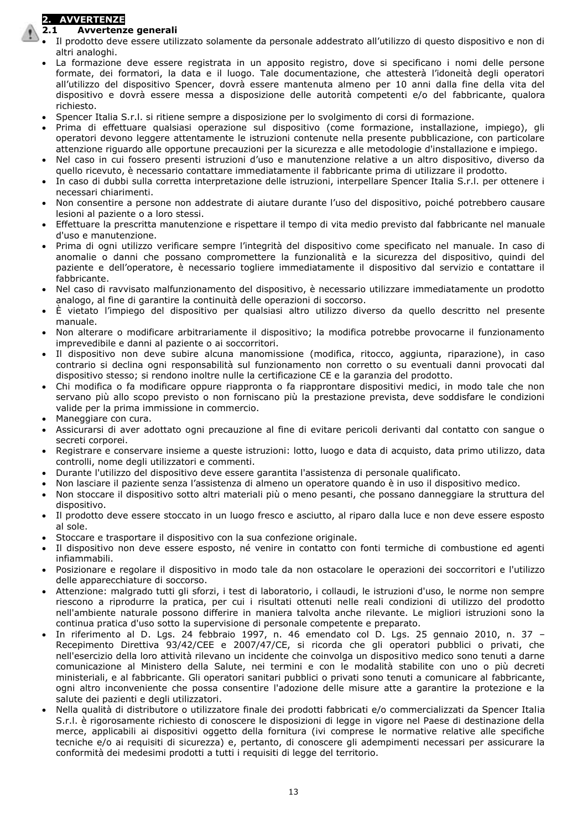## **2. AVVERTENZE**

## **2.1 Avvertenze generali**

- Il prodotto deve essere utilizzato solamente da personale addestrato all'utilizzo di questo dispositivo e non di altri analoghi.
- La formazione deve essere registrata in un apposito registro, dove si specificano i nomi delle persone formate, dei formatori, la data e il luogo. Tale documentazione, che attesterà l'idoneità degli operatori all'utilizzo del dispositivo Spencer, dovrà essere mantenuta almeno per 10 anni dalla fine della vita del dispositivo e dovrà essere messa a disposizione delle autorità competenti e/o del fabbricante, qualora richiesto.
- Spencer Italia S.r.l. si ritiene sempre a disposizione per lo svolgimento di corsi di formazione.
- Prima di effettuare qualsiasi operazione sul dispositivo (come formazione, installazione, impiego), gli operatori devono leggere attentamente le istruzioni contenute nella presente pubblicazione, con particolare attenzione riguardo alle opportune precauzioni per la sicurezza e alle metodologie d'installazione e impiego.
- Nel caso in cui fossero presenti istruzioni d'uso e manutenzione relative a un altro dispositivo, diverso da quello ricevuto, è necessario contattare immediatamente il fabbricante prima di utilizzare il prodotto.
- In caso di dubbi sulla corretta interpretazione delle istruzioni, interpellare Spencer Italia S.r.l. per ottenere i necessari chiarimenti.
- Non consentire a persone non addestrate di aiutare durante l'uso del dispositivo, poiché potrebbero causare lesioni al paziente o a loro stessi.
- Effettuare la prescritta manutenzione e rispettare il tempo di vita medio previsto dal fabbricante nel manuale d'uso e manutenzione.
- Prima di ogni utilizzo verificare sempre l'integrità del dispositivo come specificato nel manuale. In caso di anomalie o danni che possano compromettere la funzionalità e la sicurezza del dispositivo, quindi del paziente e dell'operatore, è necessario togliere immediatamente il dispositivo dal servizio e contattare il fabbricante.
- Nel caso di ravvisato malfunzionamento del dispositivo, è necessario utilizzare immediatamente un prodotto analogo, al fine di garantire la continuità delle operazioni di soccorso.
- È vietato l'impiego del dispositivo per qualsiasi altro utilizzo diverso da quello descritto nel presente manuale.
- Non alterare o modificare arbitrariamente il dispositivo; la modifica potrebbe provocarne il funzionamento imprevedibile e danni al paziente o ai soccorritori.
- Il dispositivo non deve subire alcuna manomissione (modifica, ritocco, aggiunta, riparazione), in caso contrario si declina ogni responsabilità sul funzionamento non corretto o su eventuali danni provocati dal dispositivo stesso; si rendono inoltre nulle la certificazione CE e la garanzia del prodotto.
- Chi modifica o fa modificare oppure riappronta o fa riapprontare dispositivi medici, in modo tale che non servano più allo scopo previsto o non forniscano più la prestazione prevista, deve soddisfare le condizioni valide per la prima immissione in commercio.
- Maneggiare con cura.
- Assicurarsi di aver adottato ogni precauzione al fine di evitare pericoli derivanti dal contatto con sangue o secreti corporei.
- Registrare e conservare insieme a queste istruzioni: lotto, luogo e data di acquisto, data primo utilizzo, data controlli, nome degli utilizzatori e commenti.
- Durante l'utilizzo del dispositivo deve essere garantita l'assistenza di personale qualificato.
- Non lasciare il paziente senza l'assistenza di almeno un operatore quando è in uso il dispositivo medico.
- Non stoccare il dispositivo sotto altri materiali più o meno pesanti, che possano danneggiare la struttura del dispositivo.
- Il prodotto deve essere stoccato in un luogo fresco e asciutto, al riparo dalla luce e non deve essere esposto al sole.
- Stoccare e trasportare il dispositivo con la sua confezione originale.
- Il dispositivo non deve essere esposto, né venire in contatto con fonti termiche di combustione ed agenti infiammabili.
- Posizionare e regolare il dispositivo in modo tale da non ostacolare le operazioni dei soccorritori e l'utilizzo delle apparecchiature di soccorso.
- Attenzione: malgrado tutti gli sforzi, i test di laboratorio, i collaudi, le istruzioni d'uso, le norme non sempre riescono a riprodurre la pratica, per cui i risultati ottenuti nelle reali condizioni di utilizzo del prodotto nell'ambiente naturale possono differire in maniera talvolta anche rilevante. Le migliori istruzioni sono la continua pratica d'uso sotto la supervisione di personale competente e preparato.
- In riferimento al D. Lgs. 24 febbraio 1997, n. 46 emendato col D. Lgs. 25 gennaio 2010, n. 37 Recepimento Direttiva 93/42/CEE e 2007/47/CE, si ricorda che gli operatori pubblici o privati, che nell'esercizio della loro attività rilevano un incidente che coinvolga un dispositivo medico sono tenuti a darne comunicazione al Ministero della Salute, nei termini e con le modalità stabilite con uno o più decreti ministeriali, e al fabbricante. Gli operatori sanitari pubblici o privati sono tenuti a comunicare al fabbricante, ogni altro inconveniente che possa consentire l'adozione delle misure atte a garantire la protezione e la salute dei pazienti e degli utilizzatori.
- Nella qualità di distributore o utilizzatore finale dei prodotti fabbricati e/o commercializzati da Spencer Italia S.r.l. è rigorosamente richiesto di conoscere le disposizioni di legge in vigore nel Paese di destinazione della merce, applicabili ai dispositivi oggetto della fornitura (ivi comprese le normative relative alle specifiche tecniche e/o ai requisiti di sicurezza) e, pertanto, di conoscere gli adempimenti necessari per assicurare la conformità dei medesimi prodotti a tutti i requisiti di legge del territorio.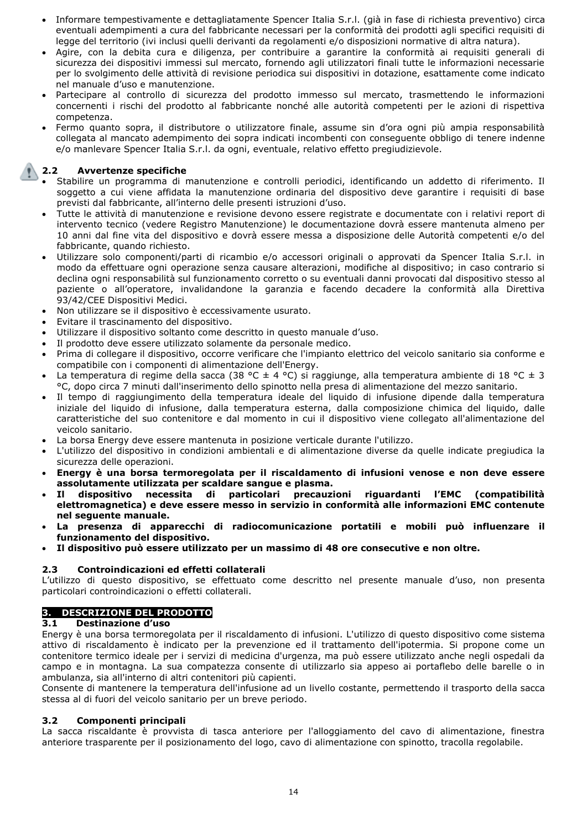- Informare tempestivamente e dettagliatamente Spencer Italia S.r.l. (già in fase di richiesta preventivo) circa eventuali adempimenti a cura del fabbricante necessari per la conformità dei prodotti agli specifici requisiti di legge del territorio (ivi inclusi quelli derivanti da regolamenti e/o disposizioni normative di altra natura).
- Agire, con la debita cura e diligenza, per contribuire a garantire la conformità ai requisiti generali di sicurezza dei dispositivi immessi sul mercato, fornendo agli utilizzatori finali tutte le informazioni necessarie per lo svolgimento delle attività di revisione periodica sui dispositivi in dotazione, esattamente come indicato nel manuale d'uso e manutenzione.
- Partecipare al controllo di sicurezza del prodotto immesso sul mercato, trasmettendo le informazioni concernenti i rischi del prodotto al fabbricante nonché alle autorità competenti per le azioni di rispettiva competenza.
- Fermo quanto sopra, il distributore o utilizzatore finale, assume sin d'ora ogni più ampia responsabilità collegata al mancato adempimento dei sopra indicati incombenti con conseguente obbligo di tenere indenne e/o manlevare Spencer Italia S.r.l. da ogni, eventuale, relativo effetto pregiudizievole.

### **2.2 Avvertenze specifiche**

- Stabilire un programma di manutenzione e controlli periodici, identificando un addetto di riferimento. Il soggetto a cui viene affidata la manutenzione ordinaria del dispositivo deve garantire i requisiti di base previsti dal fabbricante, all'interno delle presenti istruzioni d'uso.
- Tutte le attività di manutenzione e revisione devono essere registrate e documentate con i relativi report di intervento tecnico (vedere Registro Manutenzione) le documentazione dovrà essere mantenuta almeno per 10 anni dal fine vita del dispositivo e dovrà essere messa a disposizione delle Autorità competenti e/o del fabbricante, quando richiesto.
- Utilizzare solo componenti/parti di ricambio e/o accessori originali o approvati da Spencer Italia S.r.l. in modo da effettuare ogni operazione senza causare alterazioni, modifiche al dispositivo; in caso contrario si declina ogni responsabilità sul funzionamento corretto o su eventuali danni provocati dal dispositivo stesso al paziente o all'operatore, invalidandone la garanzia e facendo decadere la conformità alla Direttiva 93/42/CEE Dispositivi Medici.
- Non utilizzare se il dispositivo è eccessivamente usurato.
- Evitare il trascinamento del dispositivo.
- Utilizzare il dispositivo soltanto come descritto in questo manuale d'uso.
- Il prodotto deve essere utilizzato solamente da personale medico.
- Prima di collegare il dispositivo, occorre verificare che l'impianto elettrico del veicolo sanitario sia conforme e compatibile con i componenti di alimentazione dell'Energy.
- La temperatura di regime della sacca (38 °C  $\pm$  4 °C) si raggiunge, alla temperatura ambiente di 18 °C  $\pm$  3 °C, dopo circa 7 minuti dall'inserimento dello spinotto nella presa di alimentazione del mezzo sanitario.
- Il tempo di raggiungimento della temperatura ideale del liquido di infusione dipende dalla temperatura iniziale del liquido di infusione, dalla temperatura esterna, dalla composizione chimica del liquido, dalle caratteristiche del suo contenitore e dal momento in cui il dispositivo viene collegato all'alimentazione del veicolo sanitario.
- La borsa Energy deve essere mantenuta in posizione verticale durante l'utilizzo.
- L'utilizzo del dispositivo in condizioni ambientali e di alimentazione diverse da quelle indicate pregiudica la sicurezza delle operazioni.
- **Energy è una borsa termoregolata per il riscaldamento di infusioni venose e non deve essere assolutamente utilizzata per scaldare sangue e plasma.**
- **Il dispositivo necessita di particolari precauzioni riguardanti l'EMC (compatibilità elettromagnetica) e deve essere messo in servizio in conformità alle informazioni EMC contenute nel seguente manuale.**
- **La presenza di apparecchi di radiocomunicazione portatili e mobili può influenzare il funzionamento del dispositivo.**
- **Il dispositivo può essere utilizzato per un massimo di 48 ore consecutive e non oltre.**

### **2.3 Controindicazioni ed effetti collaterali**

L'utilizzo di questo dispositivo, se effettuato come descritto nel presente manuale d'uso, non presenta particolari controindicazioni o effetti collaterali.

### **3. DESCRIZIONE DEL PRODOTTO**

### **3.1 Destinazione d'uso**

Energy è una borsa termoregolata per il riscaldamento di infusioni. L'utilizzo di questo dispositivo come sistema attivo di riscaldamento è indicato per la prevenzione ed il trattamento dell'ipotermia. Si propone come un contenitore termico ideale per i servizi di medicina d'urgenza, ma può essere utilizzato anche negli ospedali da campo e in montagna. La sua compatezza consente di utilizzarlo sia appeso ai portaflebo delle barelle o in ambulanza, sia all'interno di altri contenitori più capienti.

Consente di mantenere la temperatura dell'infusione ad un livello costante, permettendo il trasporto della sacca stessa al di fuori del veicolo sanitario per un breve periodo.

### **3.2 Componenti principali**

La sacca riscaldante è provvista di tasca anteriore per l'alloggiamento del cavo di alimentazione, finestra anteriore trasparente per il posizionamento del logo, cavo di alimentazione con spinotto, tracolla regolabile.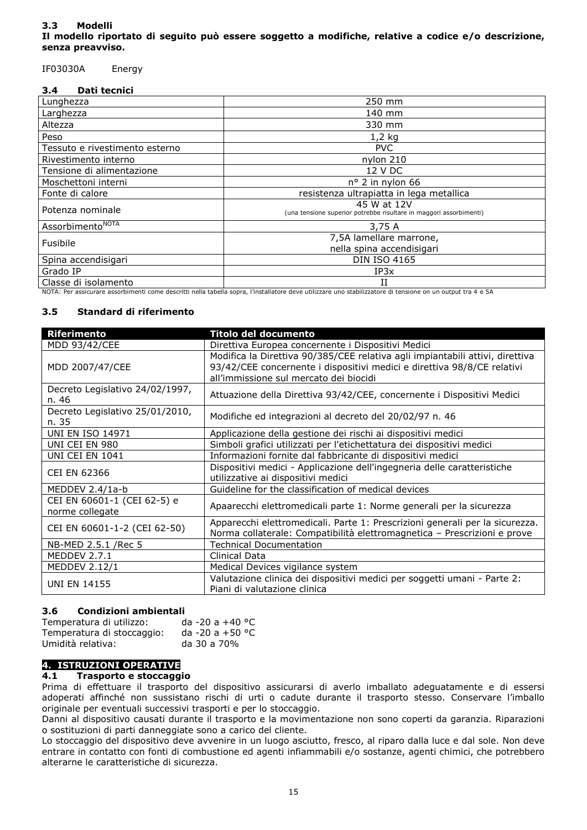### **3.3 Modelli Il modello riportato di seguito può essere soggetto a modifiche, relative a codice e/o descrizione, senza preavviso.**

### IF03030A Energy

### **3.4 Dati tecnici**

| Lunghezza                            | 250 mm                                                                                                                                                                                                                                                                                                                                                                 |
|--------------------------------------|------------------------------------------------------------------------------------------------------------------------------------------------------------------------------------------------------------------------------------------------------------------------------------------------------------------------------------------------------------------------|
| Larghezza                            | 140 mm                                                                                                                                                                                                                                                                                                                                                                 |
| Altezza                              | 330 mm                                                                                                                                                                                                                                                                                                                                                                 |
| Peso                                 | 1,2 kg                                                                                                                                                                                                                                                                                                                                                                 |
| Tessuto e rivestimento esterno       | <b>PVC</b>                                                                                                                                                                                                                                                                                                                                                             |
| Rivestimento interno                 | nylon 210                                                                                                                                                                                                                                                                                                                                                              |
| Tensione di alimentazione            | 12 V DC                                                                                                                                                                                                                                                                                                                                                                |
| Moschettoni interni                  | $n^{\circ}$ 2 in nylon 66                                                                                                                                                                                                                                                                                                                                              |
| Fonte di calore                      | resistenza ultrapiatta in lega metallica                                                                                                                                                                                                                                                                                                                               |
| Potenza nominale                     | 45 W at 12V<br>(una tensione superior potrebbe risultare in maggori assorbimenti)                                                                                                                                                                                                                                                                                      |
| Assorbimento <sup>NOTA</sup>         | 3,75 A                                                                                                                                                                                                                                                                                                                                                                 |
| Fusibile                             | 7,5A lamellare marrone,<br>nella spina accendisigari                                                                                                                                                                                                                                                                                                                   |
| Spina accendisigari                  | <b>DIN ISO 4165</b>                                                                                                                                                                                                                                                                                                                                                    |
| Grado IP                             | IP3x                                                                                                                                                                                                                                                                                                                                                                   |
| Classe di isolamento<br>$\mathbf{N}$ | the contract of the contract of the contract of the contract of the contract of the contract of the contract of<br>$\mathbf{r}$ , and a set of the set of the set of the set of the set of the set of the set of the set of the set of the set of the set of the set of the set of the set of the set of the set of the set of the set of the set of<br>$\blacksquare$ |

NOTA: Per assicurare assorbimenti come descritti nella tabella sopra, l'installatore deve utilizzare uno stabilizzatore di tensione on un output tra 4 e 5A

### **3.5 Standard di riferimento**

| <b>Riferimento</b>                             | Titolo del documento                                                                                                                                                                               |  |  |
|------------------------------------------------|----------------------------------------------------------------------------------------------------------------------------------------------------------------------------------------------------|--|--|
| MDD 93/42/CEE                                  | Direttiva Europea concernente i Dispositivi Medici                                                                                                                                                 |  |  |
| MDD 2007/47/CEE                                | Modifica la Direttiva 90/385/CEE relativa agli impiantabili attivi, direttiva<br>93/42/CEE concernente i dispositivi medici e direttiva 98/8/CE relativi<br>all'immissione sul mercato dei biocidi |  |  |
| Decreto Legislativo 24/02/1997,<br>n. 46       | Attuazione della Direttiva 93/42/CEE, concernente i Dispositivi Medici                                                                                                                             |  |  |
| Decreto Legislativo 25/01/2010,<br>n. 35       | Modifiche ed integrazioni al decreto del 20/02/97 n. 46                                                                                                                                            |  |  |
| <b>UNI EN ISO 14971</b>                        | Applicazione della gestione dei rischi ai dispositivi medici                                                                                                                                       |  |  |
| UNI CEI EN 980                                 | Simboli grafici utilizzati per l'etichettatura dei dispositivi medici                                                                                                                              |  |  |
| UNI CEI EN 1041                                | Informazioni fornite dal fabbricante di dispositivi medici                                                                                                                                         |  |  |
| <b>CEI EN 62366</b>                            | Dispositivi medici - Applicazione dell'ingegneria delle caratteristiche<br>utilizzative ai dispositivi medici                                                                                      |  |  |
| MEDDEV 2.4/1a-b                                | Guideline for the classification of medical devices                                                                                                                                                |  |  |
| CEI EN 60601-1 (CEI 62-5) e<br>norme collegate | Apaarecchi elettromedicali parte 1: Norme generali per la sicurezza                                                                                                                                |  |  |
| CEI EN 60601-1-2 (CEI 62-50)                   | Apparecchi elettromedicali. Parte 1: Prescrizioni generali per la sicurezza.<br>Norma collaterale: Compatibilità elettromagnetica - Prescrizioni e prove                                           |  |  |
| NB-MED 2.5.1 /Rec 5                            | <b>Technical Documentation</b>                                                                                                                                                                     |  |  |
| MEDDEV 2.7.1                                   | Clinical Data                                                                                                                                                                                      |  |  |
| <b>MEDDEV 2.12/1</b>                           | Medical Devices vigilance system                                                                                                                                                                   |  |  |
| <b>UNI EN 14155</b>                            | Valutazione clinica dei dispositivi medici per soggetti umani - Parte 2:<br>Piani di valutazione clinica                                                                                           |  |  |

### **3.6 Condizioni ambientali**

| Temperatura di utilizzo:   | da -20 a +40 °C |
|----------------------------|-----------------|
| Temperatura di stoccaggio: | da -20 a +50 °C |
| Umidità relativa:          | da 30 a 70%     |

### **4. ISTRUZIONI OPERATIVE**

### **4.1 Trasporto e stoccaggio**

Prima di effettuare il trasporto del dispositivo assicurarsi di averlo imballato adeguatamente e di essersi adoperati affinché non sussistano rischi di urti o cadute durante il trasporto stesso. Conservare l'imballo originale per eventuali successivi trasporti e per lo stoccaggio.

Danni al dispositivo causati durante il trasporto e la movimentazione non sono coperti da garanzia. Riparazioni o sostituzioni di parti danneggiate sono a carico del cliente.

Lo stoccaggio del dispositivo deve avvenire in un luogo asciutto, fresco, al riparo dalla luce e dal sole. Non deve entrare in contatto con fonti di combustione ed agenti infiammabili e/o sostanze, agenti chimici, che potrebbero alterarne le caratteristiche di sicurezza.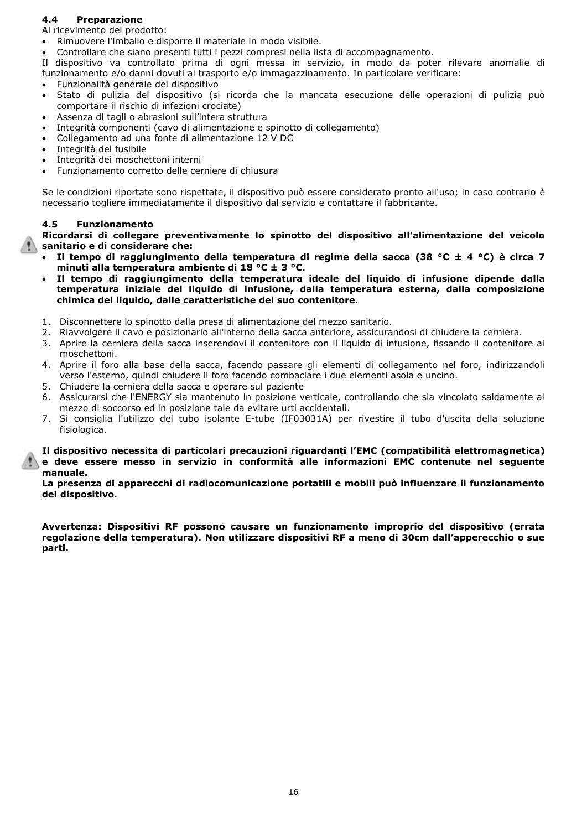### **4.4 Preparazione**

Al ricevimento del prodotto:

- Rimuovere l'imballo e disporre il materiale in modo visibile.
- Controllare che siano presenti tutti i pezzi compresi nella lista di accompagnamento.

Il dispositivo va controllato prima di ogni messa in servizio, in modo da poter rilevare anomalie di funzionamento e/o danni dovuti al trasporto e/o immagazzinamento. In particolare verificare:

- Funzionalità generale del dispositivo
- Stato di pulizia del dispositivo (si ricorda che la mancata esecuzione delle operazioni di pulizia può comportare il rischio di infezioni crociate)
- Assenza di tagli o abrasioni sull'intera struttura
- Integrità componenti (cavo di alimentazione e spinotto di collegamento)
- Collegamento ad una fonte di alimentazione 12 V DC
- Integrità del fusibile
- Integrità dei moschettoni interni
- Funzionamento corretto delle cerniere di chiusura

Se le condizioni riportate sono rispettate, il dispositivo può essere considerato pronto all'uso; in caso contrario è necessario togliere immediatamente il dispositivo dal servizio e contattare il fabbricante.

### **4.5 Funzionamento**

**Ricordarsi di collegare preventivamente lo spinotto del dispositivo all'alimentazione del veicolo sanitario e di considerare che:**

- **Il tempo di raggiungimento della temperatura di regime della sacca (38 °C ± 4 °C) è circa 7 minuti alla temperatura ambiente di 18 °C ± 3 °C.**
- **Il tempo di raggiungimento della temperatura ideale del liquido di infusione dipende dalla temperatura iniziale del liquido di infusione, dalla temperatura esterna, dalla composizione chimica del liquido, dalle caratteristiche del suo contenitore.**
- 1. Disconnettere lo spinotto dalla presa di alimentazione del mezzo sanitario.
- 2. Riavvolgere il cavo e posizionarlo all'interno della sacca anteriore, assicurandosi di chiudere la cerniera.
- 3. Aprire la cerniera della sacca inserendovi il contenitore con il liquido di infusione, fissando il contenitore ai moschettoni.
- 4. Aprire il foro alla base della sacca, facendo passare gli elementi di collegamento nel foro, indirizzandoli verso l'esterno, quindi chiudere il foro facendo combaciare i due elementi asola e uncino.
- 5. Chiudere la cerniera della sacca e operare sul paziente
- 6. Assicurarsi che l'ENERGY sia mantenuto in posizione verticale, controllando che sia vincolato saldamente al mezzo di soccorso ed in posizione tale da evitare urti accidentali.
- 7. Si consiglia l'utilizzo del tubo isolante E-tube (IF03031A) per rivestire il tubo d'uscita della soluzione fisiologica.

**Il dispositivo necessita di particolari precauzioni riguardanti l'EMC (compatibilità elettromagnetica) e deve essere messo in servizio in conformità alle informazioni EMC contenute nel seguente manuale.**

**La presenza di apparecchi di radiocomunicazione portatili e mobili può influenzare il funzionamento del dispositivo.**

**Avvertenza: Dispositivi RF possono causare un funzionamento improprio del dispositivo (errata regolazione della temperatura). Non utilizzare dispositivi RF a meno di 30cm dall'apperecchio o sue parti.**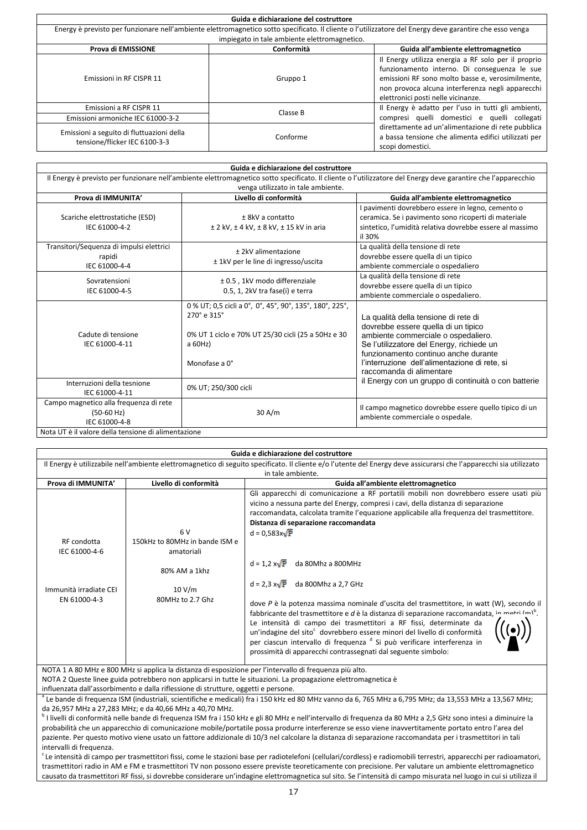| Guida e dichiarazione del costruttore                                                                                                                   |            |                                                                                                                                                                                                                                                   |  |
|---------------------------------------------------------------------------------------------------------------------------------------------------------|------------|---------------------------------------------------------------------------------------------------------------------------------------------------------------------------------------------------------------------------------------------------|--|
| Energy è previsto per funzionare nell'ambiente elettromagnetico sotto specificato. Il cliente o l'utilizzatore del Energy deve garantire che esso venga |            |                                                                                                                                                                                                                                                   |  |
| impiegato in tale ambiente elettromagnetico.                                                                                                            |            |                                                                                                                                                                                                                                                   |  |
| Prova di EMISSIONE                                                                                                                                      | Conformità | Guida all'ambiente elettromagnetico                                                                                                                                                                                                               |  |
| Emissioni in RF CISPR 11                                                                                                                                | Gruppo 1   | Il Energy utilizza energia a RF solo per il proprio<br>funzionamento interno. Di conseguenza le sue<br>emissioni RF sono molto basse e, verosimilmente,<br>non provoca alcuna interferenza negli apparecchi<br>elettronici posti nelle vicinanze. |  |
| Emissioni a RF CISPR 11                                                                                                                                 | Classe B   | Il Energy è adatto per l'uso in tutti gli ambienti,                                                                                                                                                                                               |  |
| Emissioni armoniche IEC 61000-3-2                                                                                                                       |            | compresi quelli domestici e quelli collegati                                                                                                                                                                                                      |  |
| Emissioni a seguito di fluttuazioni della<br>tensione/flicker IEC 6100-3-3                                                                              | Conforme   | direttamente ad un'alimentazione di rete pubblica<br>a bassa tensione che alimenta edifici utilizzati per<br>scopi domestici.                                                                                                                     |  |

| Guida e dichiarazione del costruttore                                                                                                                                                               |                                                                                                                                                           |                                                                                                                                                                                                                                                                                      |  |
|-----------------------------------------------------------------------------------------------------------------------------------------------------------------------------------------------------|-----------------------------------------------------------------------------------------------------------------------------------------------------------|--------------------------------------------------------------------------------------------------------------------------------------------------------------------------------------------------------------------------------------------------------------------------------------|--|
| Il Energy è previsto per funzionare nell'ambiente elettromagnetico sotto specificato. Il cliente o l'utilizzatore del Energy deve garantire che l'apparecchio<br>venga utilizzato in tale ambiente. |                                                                                                                                                           |                                                                                                                                                                                                                                                                                      |  |
| Prova di IMMUNITA'                                                                                                                                                                                  | Livello di conformità                                                                                                                                     | Guida all'ambiente elettromagnetico                                                                                                                                                                                                                                                  |  |
| Scariche elettrostatiche (ESD)<br>IEC 61000-4-2                                                                                                                                                     | $± 8kV a$ contatto<br>$±$ 2 kV, $±$ 4 kV, $±$ 8 kV, $±$ 15 kV in aria                                                                                     | I pavimenti dovrebbero essere in legno, cemento o<br>ceramica. Se i pavimento sono ricoperti di materiale<br>sintetico, l'umidità relativa dovrebbe essere al massimo<br>il 30%                                                                                                      |  |
| Transitori/Sequenza di impulsi elettrici<br>rapidi<br>IEC 61000-4-4                                                                                                                                 | ± 2kV alimentazione<br>± 1kV per le line di ingresso/uscita                                                                                               | La qualità della tensione di rete<br>dovrebbe essere quella di un tipico<br>ambiente commerciale o ospedaliero                                                                                                                                                                       |  |
| Sovratensioni<br>IEC 61000-4-5                                                                                                                                                                      | ± 0.5, 1kV modo differenziale<br>0.5, 1, 2kV tra fase(i) e terra                                                                                          | La qualità della tensione di rete<br>dovrebbe essere quella di un tipico<br>ambiente commerciale o ospedaliero.                                                                                                                                                                      |  |
| Cadute di tensione<br>IEC 61000-4-11                                                                                                                                                                | 0 % UT; 0,5 cicli a 0°, 0°, 45°, 90°, 135°, 180°, 225°,<br>270° e 315°<br>0% UT 1 ciclo e 70% UT 25/30 cicli (25 a 50Hz e 30<br>a $60Hz$<br>Monofase a 0° | La qualità della tensione di rete di<br>dovrebbe essere quella di un tipico<br>ambiente commerciale o ospedaliero.<br>Se l'utilizzatore del Energy, richiede un<br>funzionamento continuo anche durante<br>l'interruzione dell'alimentazione di rete, si<br>raccomanda di alimentare |  |
| Interruzioni della tesnione<br>IEC 61000-4-11                                                                                                                                                       | 0% UT; 250/300 cicli                                                                                                                                      | il Energy con un gruppo di continuità o con batterie                                                                                                                                                                                                                                 |  |
| Campo magnetico alla frequenza di rete<br>$(50-60$ Hz)<br>IEC 61000-4-8                                                                                                                             | 30 A/m                                                                                                                                                    | Il campo magnetico dovrebbe essere quello tipico di un<br>ambiente commerciale o ospedale.                                                                                                                                                                                           |  |
| Nota UT è il valore della tensione di alimentazione                                                                                                                                                 |                                                                                                                                                           |                                                                                                                                                                                                                                                                                      |  |

| Guida e dichiarazione del costruttore                                                                                                                               |                                      |                                                                                                                                                                                                                                                                                                                                                                                                                                                                                                                  |  |
|---------------------------------------------------------------------------------------------------------------------------------------------------------------------|--------------------------------------|------------------------------------------------------------------------------------------------------------------------------------------------------------------------------------------------------------------------------------------------------------------------------------------------------------------------------------------------------------------------------------------------------------------------------------------------------------------------------------------------------------------|--|
| Il Energy è utilizzabile nell'ambiente elettromagnetico di seguito specificato. Il cliente e/o l'utente del Energy deve assicurarsi che l'apparecchi sia utilizzato |                                      |                                                                                                                                                                                                                                                                                                                                                                                                                                                                                                                  |  |
|                                                                                                                                                                     |                                      | in tale ambiente.                                                                                                                                                                                                                                                                                                                                                                                                                                                                                                |  |
| Prova di IMMUNITA'                                                                                                                                                  | Livello di conformità                | Guida all'ambiente elettromagnetico                                                                                                                                                                                                                                                                                                                                                                                                                                                                              |  |
| RF condotta                                                                                                                                                         | 6V<br>150kHz to 80MHz in bande ISM e | Gli apparecchi di comunicazione a RF portatili mobili non dovrebbero essere usati più<br>vicino a nessuna parte del Energy, compresi i cavi, della distanza di separazione<br>raccomandata, calcolata tramite l'equazione applicabile alla frequenza del trasmettitore.<br>Distanza di separazione raccomandata<br>$d = 0.583x\sqrt{P}$                                                                                                                                                                          |  |
| IEC 61000-4-6                                                                                                                                                       | amatoriali                           |                                                                                                                                                                                                                                                                                                                                                                                                                                                                                                                  |  |
|                                                                                                                                                                     | 80% AM a 1khz                        | $d = 1.2 x\sqrt{P}$<br>da 80Mhz a 800MHz<br>$d = 2.3 x\sqrt{P}$ da 800Mhz a 2.7 GHz                                                                                                                                                                                                                                                                                                                                                                                                                              |  |
| Immunità irradiate CEI<br>EN 61000-4-3                                                                                                                              | 10 V/m<br>80MHz to 2.7 Ghz           | dove P è la potenza massima nominale d'uscita del trasmettitore, in watt (W), secondo il<br>fabbricante del trasmettitore e d è la distanza di separazione raccomandata, in matri $(m)^6$ .<br>Le intensità di campo dei trasmettitori a RF fissi, determinate da<br>un'indagine del sito <sup>c</sup> dovrebbero essere minori del livello di conformità<br>per ciascun intervallo di frequenza <sup>d</sup> Si può verificare interferenza in<br>prossimità di apparecchi contrassegnati dal seguente simbolo: |  |

NOTA 1 A 80 MHz e 800 MHz si applica la distanza di esposizione per l'intervallo di frequenza più alto.

NOTA 2 Queste linee guida potrebbero non applicarsi in tutte le situazioni. La propagazione elettromagnetica è

influenzata dall'assorbimento e dalla riflessione di strutture, oggetti e persone.

<sup>a</sup> Le bande di frequenza ISM (industriali, scientifiche e medicali) fra i 150 kHz ed 80 MHz vanno da 6, 765 MHz a 6,795 MHz; da 13,553 MHz a 13,567 MHz; da 26,957 MHz a 27,283 MHz; e da 40,66 MHz a 40,70 MHz.

b I livelli di conformità nelle bande di frequenza ISM fra i 150 kHz e gli 80 MHz e nell'intervallo di frequenza da 80 MHz a 2,5 GHz sono intesi a diminuire la probabilità che un apparecchio di comunicazione mobile/portatile possa produrre interferenze se esso viene inavvertitamente portato entro l'area del paziente. Per questo motivo viene usato un fattore addizionale di 10/3 nel calcolare la distanza di separazione raccomandata per i trasmettitori in tali intervalli di frequenza.

<sup>c</sup>Le intensità di campo per trasmettitori fissi, come le stazioni base per radiotelefoni (cellulari/cordless) e radiomobili terrestri, apparecchi per radioamatori, trasmettitori radio in AM e FM e trasmettitori TV non possono essere previste teoreticamente con precisione. Per valutare un ambiente elettromagnetico causato da trasmettitori RF fissi, si dovrebbe considerare un'indagine elettromagnetica sul sito. Se l'intensità di campo misurata nel luogo in cui si utilizza il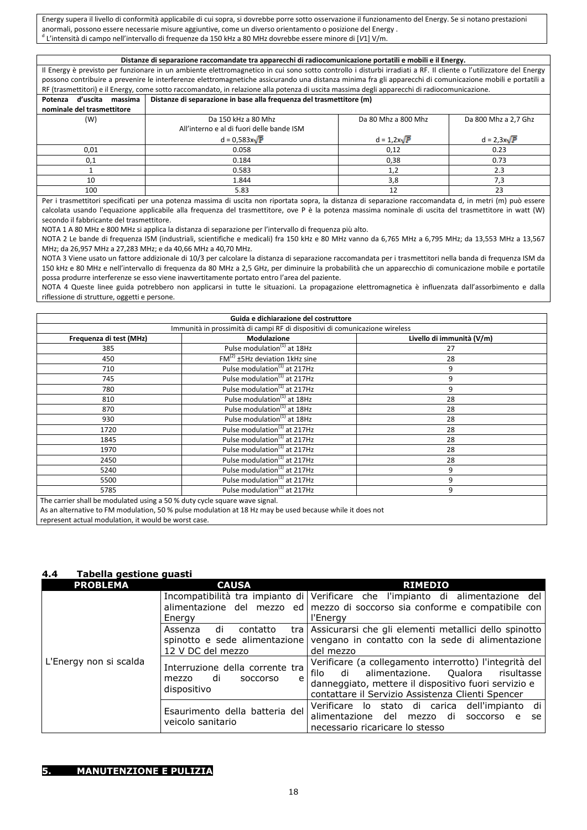Energy supera il livello di conformità applicabile di cui sopra, si dovrebbe porre sotto osservazione il funzionamento del Energy. Se si notano prestazioni anormali, possono essere necessarie misure aggiuntive, come un diverso orientamento o posizione del Energy . d L'intensità di campo nell'intervallo di frequenze da 150 kHz a 80 MHz dovrebbe essere minore di [*V*1] V/m.

**Distanze di separazione raccomandate tra apparecchi di radiocomunicazione portatili e mobili e il Energy.** Il Energy è previsto per funzionare in un ambiente elettromagnetico in cui sono sotto controllo i disturbi irradiati a RF. Il cliente o l'utilizzatore del Energy possono contribuire a prevenire le interferenze elettromagnetiche assicurando una distanza minima fra gli apparecchi di comunicazione mobili e portatili a RF (trasmettitori) e il Energy, come sotto raccomandato, in relazione alla potenza di uscita massima degli apparecchi di radiocomunicazione. **Potenza d'uscita massima nominale del trasmettitore Distanze di separazione in base alla frequenza del trasmettitore (m)** Da 150 kHz a 80 Mhz All'interno e al di fuori delle bande ISM  $d = 0,583x\sqrt{P}$ <br>0.058 Da 80 Mhz a 800 Mhz  $\frac{d = 1,2x\sqrt{P}}{0,12}$ Da 800 Mhz a 2,7 Ghz  $\frac{d = 2,3x\sqrt{P}}{0.23}$  $0.01$  0.058 0,12 0.23  $0.1$  0.184 0.38 0.73 1 1 0.583 1,2 2.3 10 10 1.844  $\frac{1}{8}$  1.844  $\frac{1}{8}$  3,8  $\frac{1}{3}$  7,3

 $100$  5.83 12 23 Per i trasmettitori specificati per una potenza massima di uscita non riportata sopra, la distanza di separazione raccomandata d, in metri (m) può essere calcolata usando l'equazione applicabile alla frequenza del trasmettitore, ove P è la potenza massima nominale di uscita del trasmettitore in watt (W) secondo il fabbricante del trasmettitore.

NOTA 1 A 80 MHz e 800 MHz si applica la distanza di separazione per l'intervallo di frequenza più alto.

NOTA 2 Le bande di frequenza ISM (industriali, scientifiche e medicali) fra 150 kHz e 80 MHz vanno da 6,765 MHz a 6,795 MHz; da 13,553 MHz a 13,567 MHz; da 26,957 MHz a 27,283 MHz; e da 40,66 MHz a 40,70 MHz.

NOTA 3 Viene usato un fattore addizionale di 10/3 per calcolare la distanza di separazione raccomandata per i trasmettitori nella banda di frequenza ISM da 150 kHz e 80 MHz e nell'intervallo di frequenza da 80 MHz a 2,5 GHz, per diminuire la probabilità che un apparecchio di comunicazione mobile e portatile possa produrre interferenze se esso viene inavvertitamente portato entro l'area del paziente.

NOTA 4 Queste linee guida potrebbero non applicarsi in tutte le situazioni. La propagazione elettromagnetica è influenzata dall'assorbimento e dalla riflessione di strutture, oggetti e persone.

| Guida e dichiarazione del costruttore                                                                    |                                          |                           |
|----------------------------------------------------------------------------------------------------------|------------------------------------------|---------------------------|
| Immunità in prossimità di campi RF di dispositivi di comunicazione wireless                              |                                          |                           |
| Frequenza di test (MHz)                                                                                  | Modulazione                              | Livello di immunità (V/m) |
| 385                                                                                                      | Pulse modulation <sup>(1)</sup> at 18Hz  | 27                        |
| 450                                                                                                      | $FM(2) ±5Hz$ deviation 1kHz sine         | 28                        |
| 710                                                                                                      | Pulse modulation <sup>(1)</sup> at 217Hz | 9                         |
| 745                                                                                                      | Pulse modulation <sup>(1)</sup> at 217Hz | 9                         |
| 780                                                                                                      | Pulse modulation <sup>(1)</sup> at 217Hz | 9                         |
| 810                                                                                                      | Pulse modulation <sup>(1)</sup> at 18Hz  | 28                        |
| 870                                                                                                      | Pulse modulation <sup>(1)</sup> at 18Hz  | 28                        |
| 930                                                                                                      | Pulse modulation <sup>(1)</sup> at 18Hz  | 28                        |
| 1720                                                                                                     | Pulse modulation <sup>(1)</sup> at 217Hz | 28                        |
| 1845                                                                                                     | Pulse modulation <sup>(1)</sup> at 217Hz | 28                        |
| 1970                                                                                                     | Pulse modulation <sup>(1)</sup> at 217Hz | 28                        |
| 2450                                                                                                     | Pulse modulation <sup>(1)</sup> at 217Hz | 28                        |
| 5240                                                                                                     | Pulse modulation <sup>(1)</sup> at 217Hz | 9                         |
| 5500                                                                                                     | Pulse modulation <sup>(1)</sup> at 217Hz | 9                         |
| 5785                                                                                                     | Pulse modulation <sup>(1)</sup> at 217Hz | 9                         |
| The carrier shall be modulated using a 50 % duty cycle square wave signal.                               |                                          |                           |
| As an alternative to FM modulation, 50 % pulse modulation at 18 Hz may be used because while it does not |                                          |                           |

represent actual modulation, it would be worst case.

### **4.4 Tabella gestione guasti**

| <b>PROBLEMA</b>        | <b>CAUSA</b>                                                                          | <b>RIMEDIO</b>                                                                                                                                                                                                   |
|------------------------|---------------------------------------------------------------------------------------|------------------------------------------------------------------------------------------------------------------------------------------------------------------------------------------------------------------|
| L'Energy non si scalda | Energy                                                                                | Incompatibilità tra impianto di Verificare che l'impianto di alimentazione del<br>alimentazione del mezzo ed mezzo di soccorso sia conforme e compatibile con<br>l'Energy                                        |
|                        | di<br>Assenza<br>contatto<br>12 V DC del mezzo                                        | tra   Assicurarsi che gli elementi metallici dello spinotto<br>spinotto e sede alimentazione vengano in contatto con la sede di alimentazione<br>del mezzo                                                       |
|                        | Interruzione della corrente tra<br>di<br><b>SOCCOLSO</b><br>mezzo<br>e<br>dispositivo | Verificare (a collegamento interrotto) l'integrità del<br>filo di alimentazione. Qualora risultasse<br>danneggiato, mettere il dispositivo fuori servizio e<br>contattare il Servizio Assistenza Clienti Spencer |
|                        | Esaurimento della batteria del<br>veicolo sanitario                                   | Verificare lo stato di carica dell'impianto di<br>alimentazione del<br>mezzo di<br><b>SOCCOLSO</b><br>$\epsilon$<br>se<br>necessario ricaricare lo stesso                                                        |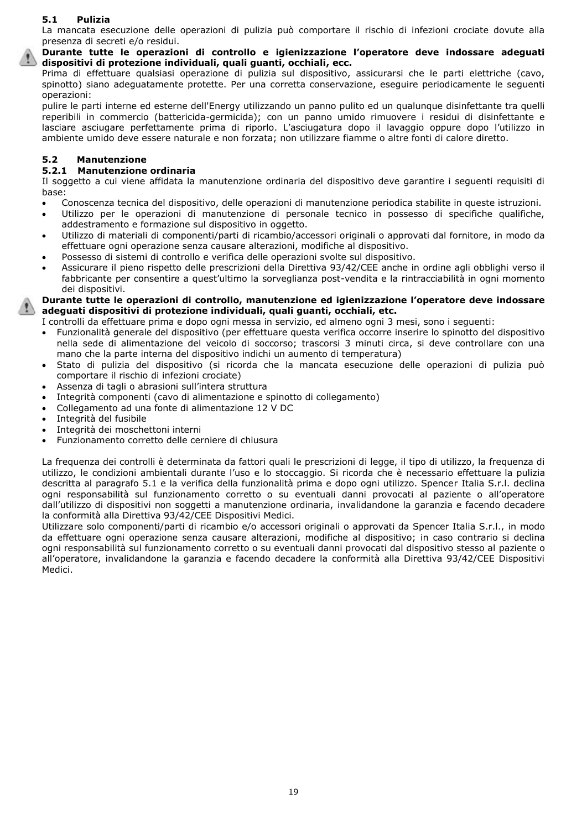### **5.1 Pulizia**

La mancata esecuzione delle operazioni di pulizia può comportare il rischio di infezioni crociate dovute alla presenza di secreti e/o residui.

**Durante tutte le operazioni di controllo e igienizzazione l'operatore deve indossare adeguati dispositivi di protezione individuali, quali guanti, occhiali, ecc.**

Prima di effettuare qualsiasi operazione di pulizia sul dispositivo, assicurarsi che le parti elettriche (cavo, spinotto) siano adeguatamente protette. Per una corretta conservazione, eseguire periodicamente le seguenti operazioni:

pulire le parti interne ed esterne dell'Energy utilizzando un panno pulito ed un qualunque disinfettante tra quelli reperibili in commercio (battericida-germicida); con un panno umido rimuovere i residui di disinfettante e lasciare asciugare perfettamente prima di riporlo. L'asciugatura dopo il lavaggio oppure dopo l'utilizzo in ambiente umido deve essere naturale e non forzata; non utilizzare fiamme o altre fonti di calore diretto.

### **5.2 Manutenzione**

### **5.2.1 Manutenzione ordinaria**

Il soggetto a cui viene affidata la manutenzione ordinaria del dispositivo deve garantire i seguenti requisiti di base:

- Conoscenza tecnica del dispositivo, delle operazioni di manutenzione periodica stabilite in queste istruzioni.
- Utilizzo per le operazioni di manutenzione di personale tecnico in possesso di specifiche qualifiche, addestramento e formazione sul dispositivo in oggetto.
- Utilizzo di materiali di componenti/parti di ricambio/accessori originali o approvati dal fornitore, in modo da effettuare ogni operazione senza causare alterazioni, modifiche al dispositivo.
- Possesso di sistemi di controllo e verifica delle operazioni svolte sul dispositivo.
- Assicurare il pieno rispetto delle prescrizioni della Direttiva 93/42/CEE anche in ordine agli obblighi verso il fabbricante per consentire a quest'ultimo la sorveglianza post-vendita e la rintracciabilità in ogni momento dei dispositivi.

**Durante tutte le operazioni di controllo, manutenzione ed igienizzazione l'operatore deve indossare adeguati dispositivi di protezione individuali, quali guanti, occhiali, etc.**

- I controlli da effettuare prima e dopo ogni messa in servizio, ed almeno ogni 3 mesi, sono i seguenti:
- Funzionalità generale del dispositivo (per effettuare questa verifica occorre inserire lo spinotto del dispositivo nella sede di alimentazione del veicolo di soccorso; trascorsi 3 minuti circa, si deve controllare con una mano che la parte interna del dispositivo indichi un aumento di temperatura)
- Stato di pulizia del dispositivo (si ricorda che la mancata esecuzione delle operazioni di pulizia può comportare il rischio di infezioni crociate)
- Assenza di tagli o abrasioni sull'intera struttura
- Integrità componenti (cavo di alimentazione e spinotto di collegamento)
- Collegamento ad una fonte di alimentazione 12 V DC
- Integrità del fusibile
- Integrità dei moschettoni interni
- Funzionamento corretto delle cerniere di chiusura

La frequenza dei controlli è determinata da fattori quali le prescrizioni di legge, il tipo di utilizzo, la frequenza di utilizzo, le condizioni ambientali durante l'uso e lo stoccaggio. Si ricorda che è necessario effettuare la pulizia descritta al paragrafo 5.1 e la verifica della funzionalità prima e dopo ogni utilizzo. Spencer Italia S.r.l. declina ogni responsabilità sul funzionamento corretto o su eventuali danni provocati al paziente o all'operatore dall'utilizzo di dispositivi non soggetti a manutenzione ordinaria, invalidandone la garanzia e facendo decadere la conformità alla Direttiva 93/42/CEE Dispositivi Medici.

Utilizzare solo componenti/parti di ricambio e/o accessori originali o approvati da Spencer Italia S.r.l., in modo da effettuare ogni operazione senza causare alterazioni, modifiche al dispositivo; in caso contrario si declina ogni responsabilità sul funzionamento corretto o su eventuali danni provocati dal dispositivo stesso al paziente o all'operatore, invalidandone la garanzia e facendo decadere la conformità alla Direttiva 93/42/CEE Dispositivi Medici.